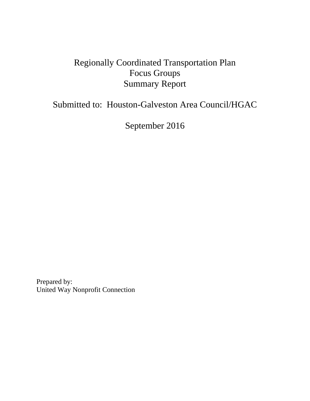# Regionally Coordinated Transportation Plan Focus Groups Summary Report

# Submitted to: Houston-Galveston Area Council/HGAC

September 2016

Prepared by: United Way Nonprofit Connection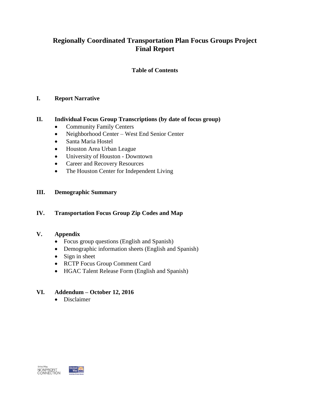# **Regionally Coordinated Transportation Plan Focus Groups Project Final Report**

# **Table of Contents**

# **I. Report Narrative**

# **II. Individual Focus Group Transcriptions (by date of focus group)**

- Community Family Centers
- Neighborhood Center West End Senior Center
- Santa Maria Hostel
- Houston Area Urban League
- University of Houston Downtown
- Career and Recovery Resources
- The Houston Center for Independent Living

# **III. Demographic Summary**

# **IV. Transportation Focus Group Zip Codes and Map**

# **V. Appendix**

- Focus group questions (English and Spanish)
- Demographic information sheets (English and Spanish)
- $\bullet$  Sign in sheet
- RCTP Focus Group Comment Card
- HGAC Talent Release Form (English and Spanish)

# **VI. Addendum – October 12, 2016**

• Disclaimer



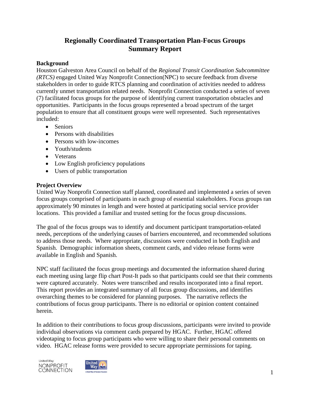# **Regionally Coordinated Transportation Plan-Focus Groups Summary Report**

# **Background**

Houston Galveston Area Council on behalf of the *Regional Transit Coordination Subcommittee (RTCS)* engaged United Way Nonprofit Connection(NPC) to secure feedback from diverse stakeholders in order to guide RTCS planning and coordination of activities needed to address currently unmet transportation related needs. Nonprofit Connection conducted a series of seven (7) facilitated focus groups for the purpose of identifying current transportation obstacles and opportunities. Participants in the focus groups represented a broad spectrum of the target population to ensure that all constituent groups were well represented. Such representatives included:

- Seniors
- Persons with disabilities
- Persons with low-incomes
- Youth/students
- Veterans
- Low English proficiency populations
- Users of public transportation

# **Project Overview**

United Way Nonprofit Connection staff planned, coordinated and implemented a series of seven focus groups comprised of participants in each group of essential stakeholders. Focus groups ran approximately 90 minutes in length and were hosted at participating social service provider locations. This provided a familiar and trusted setting for the focus group discussions.

The goal of the focus groups was to identify and document participant transportation-related needs, perceptions of the underlying causes of barriers encountered, and recommended solutions to address those needs. Where appropriate, discussions were conducted in both English and Spanish. Demographic information sheets, comment cards, and video release forms were available in English and Spanish.

NPC staff facilitated the focus group meetings and documented the information shared during each meeting using large flip chart Post-It pads so that participants could see that their comments were captured accurately. Notes were transcribed and results incorporated into a final report. This report provides an integrated summary of all focus group discussions, and identifies overarching themes to be considered for planning purposes. The narrative reflects the contributions of focus group participants. There is no editorial or opinion content contained herein.

In addition to their contributions to focus group discussions, participants were invited to provide individual observations via comment cards prepared by HGAC. Further, HGAC offered videotaping to focus group participants who were willing to share their personal comments on video. HGAC release forms were provided to secure appropriate permissions for taping.



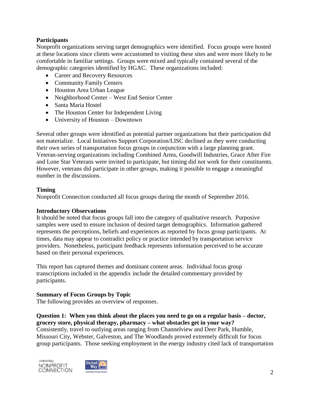# **Participants**

Nonprofit organizations serving target demographics were identified. Focus groups were hosted at these locations since clients were accustomed to visiting these sites and were more likely to be comfortable in familiar settings. Groups were mixed and typically contained several of the demographic categories identified by HGAC. These organizations included:

- Career and Recovery Resources
- Community Family Centers
- Houston Area Urban League
- Neighborhood Center West End Senior Center
- Santa Maria Hostel
- The Houston Center for Independent Living
- University of Houston Downtown

Several other groups were identified as potential partner organizations but their participation did not materialize. Local Initiatives Support Corporation/LISC declined as they were conducting their own series of transportation focus groups in conjunction with a large planning grant. Veteran-serving organizations including Combined Arms, Goodwill Industries, Grace After Fire and Lone Star Veterans were invited to participate, but timing did not work for their constituents. However, veterans did participate in other groups, making it possible to engage a meaningful number in the discussions.

# **Timing**

Nonprofit Connection conducted all focus groups during the month of September 2016.

# **Introductory Observations**

It should be noted that focus groups fall into the category of qualitative research. Purposive samples were used to ensure inclusion of desired target demographics. Information gathered represents the perceptions, beliefs and experiences as reported by focus group participants. At times, data may appear to contradict policy or practice intended by transportation service providers. Nonetheless, participant feedback represents information perceived to be accurate based on their personal experiences.

This report has captured themes and dominant content areas. Individual focus group transcriptions included in the appendix include the detailed commentary provided by participants.

# **Summary of Focus Groups by Topic**

The following provides an overview of responses.

**Question 1: When you think about the places you need to go on a regular basis – doctor, grocery store, physical therapy, pharmacy – what obstacles get in your way?** Consistently, travel to outlying areas ranging from Channelview and Deer Park, Humble, Missouri City, Webster, Galveston, and The Woodlands proved extremely difficult for focus group participants. Those seeking employment in the energy industry cited lack of transportation



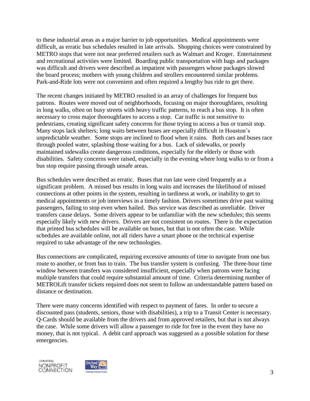to these industrial areas as a major barrier to job opportunities. Medical appointments were difficult, as erratic bus schedules resulted in late arrivals. Shopping choices were constrained by METRO stops that were not near preferred retailers such as Walmart and Kroger. Entertainment and recreational activities were limited*.* Boarding public transportation with bags and packages was difficult and drivers were described as impatient with passengers whose packages slowed the board process; mothers with young children and strollers encountered similar problems. Park-and-Ride lots were not convenient and often required a lengthy bus ride to get there.

The recent changes initiated by METRO resulted in an array of challenges for frequent bus patrons. Routes were moved out of neighborhoods, focusing on major thoroughfares, resulting in long walks, often on busy streets with heavy traffic patterns, to reach a bus stop. It is often necessary to cross major thoroughfares to access a stop. Car traffic is not sensitive to pedestrians, creating significant safety concerns for those trying to access a bus or transit stop. Many stops lack shelters; long waits between buses are especially difficult in Houston's unpredictable weather. Some stops are inclined to flood when it rains. Both cars and buses race through pooled water, splashing those waiting for a bus. Lack of sidewalks, or poorly maintained sidewalks create dangerous conditions, especially for the elderly or those with disabilities. Safety concerns were raised, especially in the evening where long walks to or from a bus stop require passing through unsafe areas.

Bus schedules were described as erratic. Buses that run late were cited frequently as a significant problem. A missed bus results in long waits and increases the likelihood of missed connections at other points in the system, resulting in tardiness at work, or inability to get to medical appointments or job interviews in a timely fashion. Drivers sometimes drive past waiting passengers, failing to stop even when hailed. Bus service was described as unreliable. Driver transfers cause delays. Some drivers appear to be unfamiliar with the new schedules; this seems especially likely with new drivers. Drivers are not consistent on routes. There is the expectation that printed bus schedules will be available on buses, but that is not often the case. While schedules are available online, not all riders have a smart phone or the technical expertise required to take advantage of the new technologies.

Bus connections are complicated, requiring excessive amounts of time to navigate from one bus route to another, or from bus to train. The bus transfer system is confusing. The three-hour time window between transfers was considered insufficient, especially when patrons were facing multiple transfers that could require substantial amount of time. Criteria determining number of METROLift transfer tickets required does not seem to follow an understandable pattern based on distance or destination.

There were many concerns identified with respect to payment of fares. In order to secure a discounted pass (students, seniors, those with disabilities), a trip to a Transit Center is necessary. Q-Cards should be available from the drivers and from approved retailers, but that is not always the case. While some drivers will allow a passenger to ride for free in the event they have no money, that is not typical. A debit card approach was suggested as a possible solution for these emergencies.



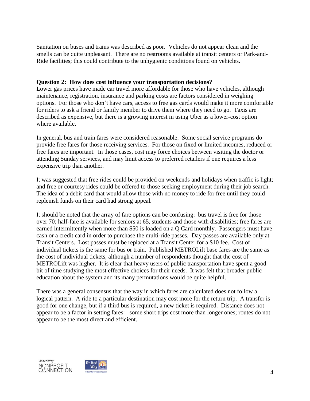Sanitation on buses and trains was described as poor. Vehicles do not appear clean and the smells can be quite unpleasant. There are no restrooms available at transit centers or Park-and-Ride facilities; this could contribute to the unhygienic conditions found on vehicles.

#### **Question 2: How does cost influence your transportation decisions?**

Lower gas prices have made car travel more affordable for those who have vehicles, although maintenance, registration, insurance and parking costs are factors considered in weighing options. For those who don't have cars, access to free gas cards would make it more comfortable for riders to ask a friend or family member to drive them where they need to go. Taxis are described as expensive, but there is a growing interest in using Uber as a lower-cost option where available.

In general, bus and train fares were considered reasonable. Some social service programs do provide free fares for those receiving services. For those on fixed or limited incomes, reduced or free fares are important. In those cases, cost may force choices between visiting the doctor or attending Sunday services, and may limit access to preferred retailers if one requires a less expensive trip than another.

It was suggested that free rides could be provided on weekends and holidays when traffic is light; and free or courtesy rides could be offered to those seeking employment during their job search. The idea of a debit card that would allow those with no money to ride for free until they could replenish funds on their card had strong appeal*.*

It should be noted that the array of fare options can be confusing: bus travel is free for those over 70; half-fare is available for seniors at 65, students and those with disabilities; free fares are earned intermittently when more than \$50 is loaded on a Q Card monthly. Passengers must have cash or a credit card in order to purchase the multi-ride passes. Day passes are available only at Transit Centers. Lost passes must be replaced at a Transit Center for a \$10 fee. Cost of individual tickets is the same for bus or train. Published METROLift base fares are the same as the cost of individual tickets, although a number of respondents thought that the cost of METROLift was higher. It is clear that heavy users of public transportation have spent a good bit of time studying the most effective choices for their needs. It was felt that broader public education about the system and its many permutations would be quite helpful.

There was a general consensus that the way in which fares are calculated does not follow a logical pattern. A ride to a particular destination may cost more for the return trip. A transfer is good for one change, but if a third bus is required, a new ticket is required. Distance does not appear to be a factor in setting fares: some short trips cost more than longer ones; routes do not appear to be the most direct and efficient.



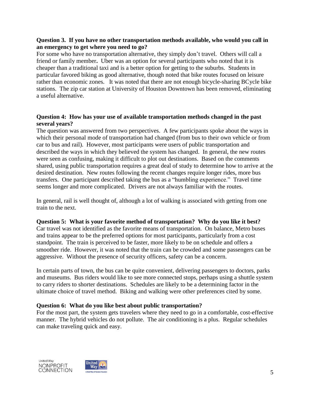# **Question 3. If you have no other transportation methods available, who would you call in an emergency to get where you need to go?**

For some who have no transportation alternative, they simply don't travel. Others will call a friend or family member**.** Uber was an option for several participants who noted that it is cheaper than a traditional taxi and is a better option for getting to the suburbs. Students in particular favored biking as good alternative, though noted that bike routes focused on leisure rather than economic zones. It was noted that there are not enough bicycle-sharing BCycle bike stations. The zip car station at University of Houston Downtown has been removed, eliminating a useful alternative.

# **Question 4: How has your use of available transportation methods changed in the past several years?**

The question was answered from two perspectives. A few participants spoke about the ways in which their personal mode of transportation had changed (from bus to their own vehicle or from car to bus and rail). However, most participants were users of public transportation and described the ways in which they believed the system has changed. In general, the new routes were seen as confusing, making it difficult to plot out destinations. Based on the comments shared, using public transportation requires a great deal of study to determine how to arrive at the desired destination. New routes following the recent changes require longer rides, more bus transfers. One participant described taking the bus as a "humbling experience." Travel time seems longer and more complicated. Drivers are not always familiar with the routes.

In general, rail is well thought of, although a lot of walking is associated with getting from one train to the next.

# **Question 5: What is your favorite method of transportation? Why do you like it best?**

Car travel was not identified as the favorite means of transportation. On balance, Metro buses and trains appear to be the preferred options for most participants, particularly from a cost standpoint. The train is perceived to be faster, more likely to be on schedule and offers a smoother ride. However, it was noted that the train can be crowded and some passengers can be aggressive. Without the presence of security officers, safety can be a concern.

In certain parts of town, the bus can be quite convenient, delivering passengers to doctors, parks and museums. Bus riders would like to see more connected stops, perhaps using a shuttle system to carry riders to shorter destinations. Schedules are likely to be a determining factor in the ultimate choice of travel method. Biking and walking were other preferences cited by some.

# **Question 6: What do you like best about public transportation?**

For the most part, the system gets travelers where they need to go in a comfortable, cost-effective manner. The hybrid vehicles do not pollute. The air conditioning is a plus. Regular schedules can make traveling quick and easy.



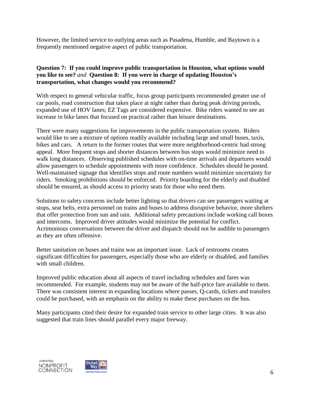However, the limited service to outlying areas such as Pasadena, Humble, and Baytown is a frequently mentioned negative aspect of public transportation.

# **Question 7: If you could improve public transportation in Houston, what options would you like to see?** *and* **Question 8: If you were in charge of updating Houston's transportation, what changes would you recommend?**

With respect to general vehicular traffic, focus group participants recommended greater use of car pools, road construction that takes place at night rather than during peak driving periods, expanded use of HOV lanes; EZ Tags are considered expensive. Bike riders wanted to see an increase in bike lanes that focused on practical rather than leisure destinations.

There were many suggestions for improvements in the public transportation system. Riders would like to see a mixture of options readily available including large and small buses, taxis, bikes and cars. A return to the former routes that were more neighborhood-centric had strong appeal. More frequent stops and shorter distances between bus stops would minimize need to walk long distances. Observing published schedules with on-time arrivals and departures would allow passengers to schedule appointments with more confidence. Schedules should be posted. Well-maintained signage that identifies stops and route numbers would minimize uncertainty for riders. Smoking prohibitions should be enforced. Priority boarding for the elderly and disabled should be ensured, as should access to priority seats for those who need them.

Solutions to safety concerns include better lighting so that drivers can see passengers waiting at stops, seat belts, extra personnel on trains and buses to address disruptive behavior, more shelters that offer protection from sun and rain. Additional safety precautions include working call boxes and intercoms. Improved driver attitudes would minimize the potential for conflict. Acrimonious conversations between the driver and dispatch should not be audible to passengers as they are often offensive.

Better sanitation on buses and trains was an important issue. Lack of restrooms creates significant difficulties for passengers, especially those who are elderly or disabled, and families with small children.

Improved public education about all aspects of travel including schedules and fares was recommended. For example, students may not be aware of the half-price fare available to them. There was consistent interest in expanding locations where passes, Q-cards, tickets and transfers could be purchased, with an emphasis on the ability to make these purchases on the bus.

Many participants cited their desire for expanded train service to other large cities. It was also suggested that train lines should parallel every major freeway.



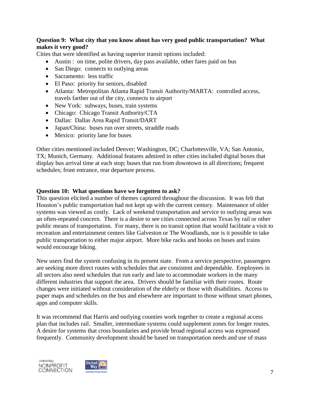# **Question 9: What city that you know about has very good public transportation? What makes it very good?**

Cities that were identified as having superior transit options included:

- Austin : on time, polite drivers, day pass available, other fares paid on bus
- San Diego: connects to outlying areas
- Sacramento: less traffic
- El Paso: priority for seniors, disabled
- Atlanta: Metropolitan Atlanta Rapid Transit Authority/MARTA: controlled access, travels farther out of the city, connects to airport
- New York: subways, buses, train systems
- Chicago: Chicago Transit Authority/CTA
- Dallas: Dallas Area Rapid Transit/DART
- Japan/China: buses run over streets, straddle roads
- Mexico: priority lane for buses

Other cities mentioned included Denver; Washington, DC; Charlottesville, VA; San Antonio, TX; Munich, Germany. Additional features admired in other cities included digital boxes that display bus arrival time at each stop; buses that run from downtown in all directions; frequent schedules; front entrance, rear departure process.

# **Question 10: What questions have we forgotten to ask?**

This question elicited a number of themes captured throughout the discussion. It was felt that Houston's public transportation had not kept up with the current century. Maintenance of older systems was viewed as costly. Lack of weekend transportation and service to outlying areas was an often-repeated concern. There is a desire to see cities connected across Texas by rail or other public means of transportation. For many, there is no transit option that would facilitate a visit to recreation and entertainment centers like Galveston or The Woodlands, nor is it possible to take public transportation to either major airport. More bike racks and hooks on buses and trains would encourage biking.

New users find the system confusing in its present state. From a service perspective, passengers are seeking more direct routes with schedules that are consistent and dependable. Employees in all sectors also need schedules that run early and late to accommodate workers in the many different industries that support the area. Drivers should be familiar with their routes. Route changes were initiated without consideration of the elderly or those with disabilities. Access to paper maps and schedules on the bus and elsewhere are important to those without smart phones, apps and computer skills.

It was recommend that Harris and outlying counties work together to create a regional access plan that includes rail. Smaller, intermediate systems could supplement zones for longer routes. A desire for systems that cross boundaries and provide broad regional access was expressed frequently. Community development should be based on transportation needs and use of mass



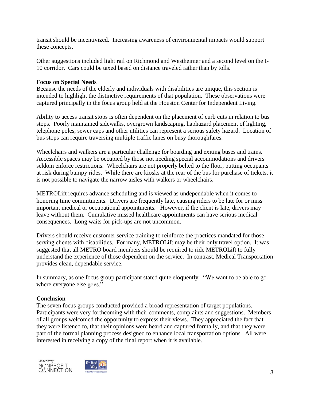transit should be incentivized. Increasing awareness of environmental impacts would support these concepts.

Other suggestions included light rail on Richmond and Westheimer and a second level on the I-10 corridor. Cars could be taxed based on distance traveled rather than by tolls.

# **Focus on Special Needs**

Because the needs of the elderly and individuals with disabilities are unique, this section is intended to highlight the distinctive requirements of that population. These observations were captured principally in the focus group held at the Houston Center for Independent Living.

Ability to access transit stops is often dependent on the placement of curb cuts in relation to bus stops. Poorly maintained sidewalks, overgrown landscaping, haphazard placement of lighting, telephone poles, sewer caps and other utilities can represent a serious safety hazard. Location of bus stops can require traversing multiple traffic lanes on busy thoroughfares.

Wheelchairs and walkers are a particular challenge for boarding and exiting buses and trains. Accessible spaces may be occupied by those not needing special accommodations and drivers seldom enforce restrictions. Wheelchairs are not properly belted to the floor, putting occupants at risk during bumpy rides. While there are kiosks at the rear of the bus for purchase of tickets, it is not possible to navigate the narrow aisles with walkers or wheelchairs.

METROLift requires advance scheduling and is viewed as undependable when it comes to honoring time commitments. Drivers are frequently late, causing riders to be late for or miss important medical or occupational appointments. However, if the client is late, drivers may leave without them. Cumulative missed healthcare appointments can have serious medical consequences. Long waits for pick-ups are not uncommon.

Drivers should receive customer service training to reinforce the practices mandated for those serving clients with disabilities. For many, METROLift may be their only travel option. It was suggested that all METRO board members should be required to ride METROLift to fully understand the experience of those dependent on the service. In contrast, Medical Transportation provides clean, dependable service.

In summary, as one focus group participant stated quite eloquently: "We want to be able to go where everyone else goes."

# **Conclusion**

The seven focus groups conducted provided a broad representation of target populations. Participants were very forthcoming with their comments, complaints and suggestions. Members of all groups welcomed the opportunity to express their views. They appreciated the fact that they were listened to, that their opinions were heard and captured formally, and that they were part of the formal planning process designed to enhance local transportation options. All were interested in receiving a copy of the final report when it is available.



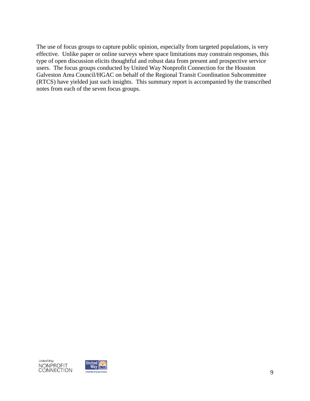The use of focus groups to capture public opinion, especially from targeted populations, is very effective. Unlike paper or online surveys where space limitations may constrain responses, this type of open discussion elicits thoughtful and robust data from present and prospective service users. The focus groups conducted by United Way Nonprofit Connection for the Houston Galveston Area Council/HGAC on behalf of the Regional Transit Coordination Subcommittee (RTCS) have yielded just such insights. This summary report is accompanied by the transcribed notes from each of the seven focus groups.



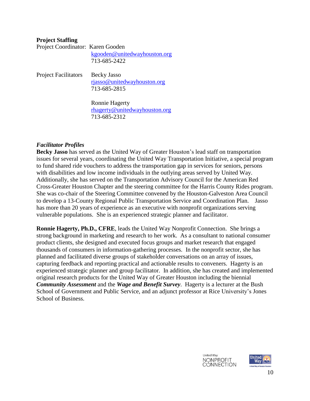# **Project Staffing**

| Project Coordinator: Karen Gooden |                              |
|-----------------------------------|------------------------------|
|                                   | kgooden@unitedwayhouston.org |
|                                   | 713-685-2422                 |
|                                   |                              |

Project Facilitators Becky Jasso [rjasso@unitedwayhouston.org](mailto:rjasso@unitedwayhouston.org) 713-685-2815

> Ronnie Hagerty [rhagerty@unitedwayhouston.org](mailto:rhagerty@unitedwayhouston.org) 713-685-2312

#### *Facilitator Profiles*

**Becky Jasso** has served as the United Way of Greater Houston's lead staff on transportation issues for several years, coordinating the United Way Transportation Initiative, a special program to fund shared ride vouchers to address the transportation gap in services for seniors, persons with disabilities and low income individuals in the outlying areas served by United Way. Additionally, she has served on the Transportation Advisory Council for the American Red Cross-Greater Houston Chapter and the steering committee for the Harris County Rides program. She was co-chair of the Steering Committee convened by the Houston-Galveston Area Council to develop a 13-County Regional Public Transportation Service and Coordination Plan. Jasso has more than 20 years of experience as an executive with nonprofit organizations serving vulnerable populations. She is an experienced strategic planner and facilitator.

**Ronnie Hagerty, Ph.D., CFRE**, leads the United Way Nonprofit Connection. She brings a strong background in marketing and research to her work. As a consultant to national consumer product clients, she designed and executed focus groups and market research that engaged thousands of consumers in information-gathering processes. In the nonprofit sector, she has planned and facilitated diverse groups of stakeholder conversations on an array of issues, capturing feedback and reporting practical and actionable results to conveners. Hagerty is an experienced strategic planner and group facilitator. In addition, she has created and implemented original research products for the United Way of Greater Houston including the biennial *Community Assessment* and the *Wage and Benefit Survey*. Hagerty is a lecturer at the Bush School of Government and Public Service, and an adjunct professor at Rice University's Jones School of Business.



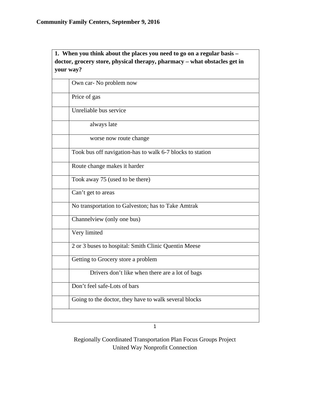# **1. When you think about the places you need to go on a regular basis – doctor, grocery store, physical therapy, pharmacy – what obstacles get in your way?**

| Own car- No problem now                                   |
|-----------------------------------------------------------|
| Price of gas                                              |
| Unreliable bus service                                    |
| always late                                               |
| worse now route change                                    |
| Took bus off navigation-has to walk 6-7 blocks to station |
| Route change makes it harder                              |
| Took away 75 (used to be there)                           |
| Can't get to areas                                        |
| No transportation to Galveston; has to Take Amtrak        |
| Channelview (only one bus)                                |
| Very limited                                              |
| 2 or 3 buses to hospital: Smith Clinic Quentin Meese      |
| Getting to Grocery store a problem                        |
| Drivers don't like when there are a lot of bags           |
| Don't feel safe-Lots of bars                              |
| Going to the doctor, they have to walk several blocks     |

1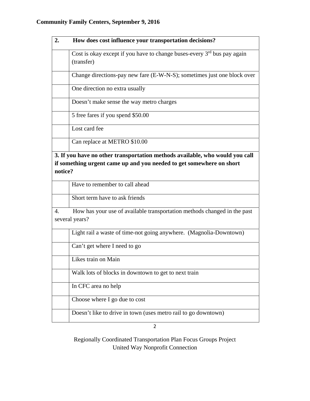| 2. | How does cost influence your transportation decisions?                                                                                               |
|----|------------------------------------------------------------------------------------------------------------------------------------------------------|
|    | Cost is okay except if you have to change buses-every $3rd$ bus pay again<br>(transfer)                                                              |
|    | Change directions-pay new fare (E-W-N-S); sometimes just one block over                                                                              |
|    | One direction no extra usually                                                                                                                       |
|    | Doesn't make sense the way metro charges                                                                                                             |
|    | 5 free fares if you spend \$50.00                                                                                                                    |
|    | Lost card fee                                                                                                                                        |
|    | Can replace at METRO \$10.00                                                                                                                         |
|    | 3. If you have no other transportation methods available, who would you call<br>if something urgent came up and you needed to get somewhere on short |

**notice?** 

| Have to remember to call ahead |
|--------------------------------|
| Short term have to ask friends |

4. How has your use of available transportation methods changed in the past several years?

| Light rail a waste of time-not going anywhere. (Magnolia-Downtown) |
|--------------------------------------------------------------------|
| Can't get where I need to go                                       |
| Likes train on Main                                                |
| Walk lots of blocks in downtown to get to next train               |
| In CFC area no help                                                |
| Choose where I go due to cost                                      |
| Doesn't like to drive in town (uses metro rail to go downtown)     |

2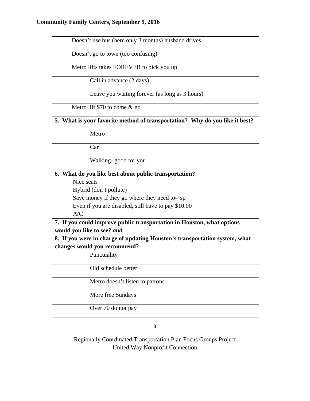| Doesn't use bus (here only 3 months) husband drives                         |  |
|-----------------------------------------------------------------------------|--|
| Doesn't go to town (too confusing)                                          |  |
| Metro lifts takes FOREVER to pick you up                                    |  |
| Call in advance (2 days)                                                    |  |
| Leave you waiting forever (as long as 3 hours)                              |  |
| Metro lift \$70 to come $&$ go                                              |  |
| 5. What is your favorite method of transportation? Why do you like it best? |  |
| Metro                                                                       |  |
| Car                                                                         |  |
| Walking-good for you                                                        |  |
| 6. What do you like best about public transportation?                       |  |
| Nice seats                                                                  |  |
| Hybrid (don't pollute)                                                      |  |
| Save money if they go where they need to-sp                                 |  |
| Even if you are disabled, still have to pay \$10.00                         |  |
| A/C                                                                         |  |
| 7. If you could improve public transportation in Houston, what options      |  |
| would you like to see? and                                                  |  |
| 8. If you were in charge of updating Houston's transportation system, what  |  |
| changes would you recommend?                                                |  |
| Punctuality                                                                 |  |
| Old schedule better                                                         |  |
| Metro doesn't listen to patrons                                             |  |
| More free Sundays                                                           |  |
| Over 70 do not pay                                                          |  |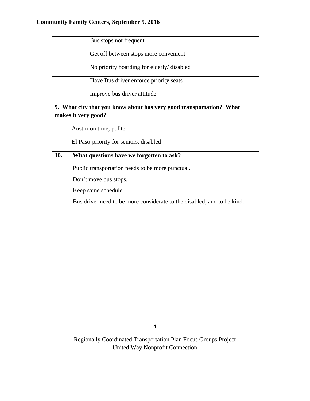|                                                                                            | Bus stops not frequent                                                  |  |
|--------------------------------------------------------------------------------------------|-------------------------------------------------------------------------|--|
|                                                                                            | Get off between stops more convenient                                   |  |
|                                                                                            | No priority boarding for elderly/ disabled                              |  |
|                                                                                            | Have Bus driver enforce priority seats                                  |  |
|                                                                                            | Improve bus driver attitude                                             |  |
| 9. What city that you know about has very good transportation? What<br>makes it very good? |                                                                         |  |
|                                                                                            | Austin-on time, polite                                                  |  |
|                                                                                            | El Paso-priority for seniors, disabled                                  |  |
| 10.                                                                                        | What questions have we forgotten to ask?                                |  |
|                                                                                            | Public transportation needs to be more punctual.                        |  |
|                                                                                            | Don't move bus stops.                                                   |  |
|                                                                                            | Keep same schedule.                                                     |  |
|                                                                                            | Bus driver need to be more considerate to the disabled, and to be kind. |  |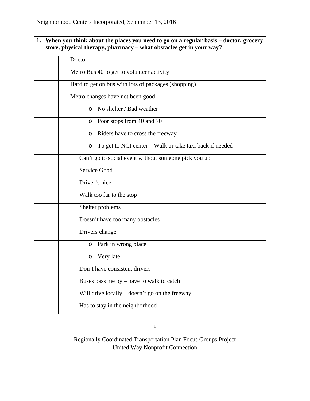| 1. | When you think about the places you need to go on a regular basis – doctor, grocery<br>store, physical therapy, pharmacy – what obstacles get in your way? |  |  |
|----|------------------------------------------------------------------------------------------------------------------------------------------------------------|--|--|
|    | Doctor                                                                                                                                                     |  |  |
|    | Metro Bus 40 to get to volunteer activity                                                                                                                  |  |  |
|    | Hard to get on bus with lots of packages (shopping)                                                                                                        |  |  |
|    | Metro changes have not been good                                                                                                                           |  |  |
|    | No shelter / Bad weather<br>$\circ$                                                                                                                        |  |  |
|    | Poor stops from 40 and 70<br>O                                                                                                                             |  |  |
|    | Riders have to cross the freeway<br>O                                                                                                                      |  |  |
|    | To get to NCI center – Walk or take taxi back if needed<br>O                                                                                               |  |  |
|    | Can't go to social event without someone pick you up                                                                                                       |  |  |
|    | <b>Service Good</b>                                                                                                                                        |  |  |
|    | Driver's nice                                                                                                                                              |  |  |
|    | Walk too far to the stop                                                                                                                                   |  |  |
|    | Shelter problems                                                                                                                                           |  |  |
|    | Doesn't have too many obstacles                                                                                                                            |  |  |
|    | Drivers change                                                                                                                                             |  |  |
|    | Park in wrong place<br>O                                                                                                                                   |  |  |
|    | Very late<br>O                                                                                                                                             |  |  |
|    | Don't have consistent drivers                                                                                                                              |  |  |
|    | Buses pass me by $-$ have to walk to catch                                                                                                                 |  |  |
|    | Will drive locally $-$ doesn't go on the freeway                                                                                                           |  |  |
|    | Has to stay in the neighborhood                                                                                                                            |  |  |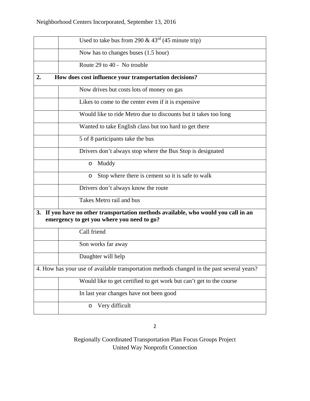|                                                                                                                                  | Used to take bus from 290 & $43rd$ (45 minute trip)                                        |  |
|----------------------------------------------------------------------------------------------------------------------------------|--------------------------------------------------------------------------------------------|--|
|                                                                                                                                  | Now has to changes buses (1.5 hour)                                                        |  |
|                                                                                                                                  | Route 29 to 40 - No trouble                                                                |  |
| 2.                                                                                                                               | How does cost influence your transportation decisions?                                     |  |
|                                                                                                                                  | Now drives but costs lots of money on gas                                                  |  |
|                                                                                                                                  | Likes to come to the center even if it is expensive                                        |  |
|                                                                                                                                  | Would like to ride Metro due to discounts but it takes too long                            |  |
|                                                                                                                                  | Wanted to take English class but too hard to get there                                     |  |
|                                                                                                                                  | 5 of 8 participants take the bus                                                           |  |
|                                                                                                                                  | Drivers don't always stop where the Bus Stop is designated                                 |  |
|                                                                                                                                  | Muddy<br>$\circ$                                                                           |  |
|                                                                                                                                  | Stop where there is cement so it is safe to walk<br>O                                      |  |
|                                                                                                                                  | Drivers don't always know the route                                                        |  |
|                                                                                                                                  | Takes Metro rail and bus                                                                   |  |
| 3. If you have no other transportation methods available, who would you call in an<br>emergency to get you where you need to go? |                                                                                            |  |
|                                                                                                                                  | Call friend                                                                                |  |
|                                                                                                                                  | Son works far away                                                                         |  |
|                                                                                                                                  | Daughter will help                                                                         |  |
|                                                                                                                                  | 4. How has your use of available transportation methods changed in the past several years? |  |
|                                                                                                                                  | Would like to get certified to get work but can't get to the course                        |  |
|                                                                                                                                  | In last year changes have not been good                                                    |  |
|                                                                                                                                  | Very difficult<br>O                                                                        |  |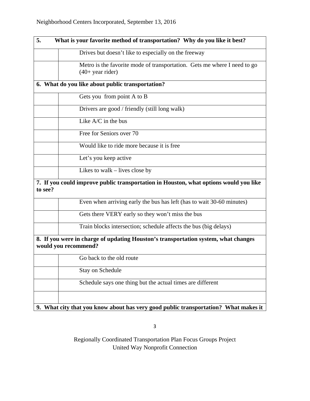| What is your favorite method of transportation? Why do you like it best?<br>5.                             |  |
|------------------------------------------------------------------------------------------------------------|--|
| Drives but doesn't like to especially on the freeway                                                       |  |
| Metro is the favorite mode of transportation. Gets me where I need to go<br>$(40+$ year rider)             |  |
| 6. What do you like about public transportation?                                                           |  |
| Gets you from point A to B                                                                                 |  |
| Drivers are good / friendly (still long walk)                                                              |  |
| Like $A/C$ in the bus                                                                                      |  |
| Free for Seniors over 70                                                                                   |  |
| Would like to ride more because it is free                                                                 |  |
| Let's you keep active                                                                                      |  |
| Likes to walk $-$ lives close by                                                                           |  |
| 7. If you could improve public transportation in Houston, what options would you like<br>to see?           |  |
| Even when arriving early the bus has left (has to wait 30-60 minutes)                                      |  |
| Gets there VERY early so they won't miss the bus                                                           |  |
| Train blocks intersection; schedule affects the bus (big delays)                                           |  |
| 8. If you were in charge of updating Houston's transportation system, what changes<br>would you recommend? |  |
| Go back to the old route                                                                                   |  |
| <b>Stay on Schedule</b>                                                                                    |  |
| Schedule says one thing but the actual times are different                                                 |  |
|                                                                                                            |  |
| 9. What city that you know about has very good public transportation? What makes it                        |  |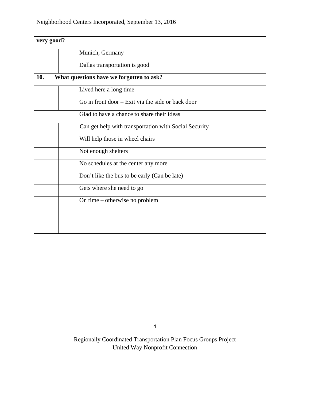| very good? |                                                       |  |
|------------|-------------------------------------------------------|--|
|            | Munich, Germany                                       |  |
|            | Dallas transportation is good                         |  |
| 10.        | What questions have we forgotten to ask?              |  |
|            | Lived here a long time                                |  |
|            | Go in front door – Exit via the side or back door     |  |
|            | Glad to have a chance to share their ideas            |  |
|            | Can get help with transportation with Social Security |  |
|            | Will help those in wheel chairs                       |  |
|            | Not enough shelters                                   |  |
|            | No schedules at the center any more                   |  |
|            | Don't like the bus to be early (Can be late)          |  |
|            | Gets where she need to go                             |  |
|            | On time – otherwise no problem                        |  |
|            |                                                       |  |
|            |                                                       |  |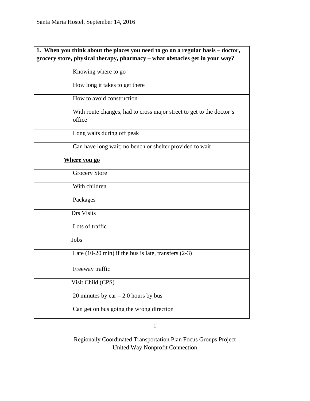| 1. When you think about the places you need to go on a regular basis - doctor, |                                                                                |
|--------------------------------------------------------------------------------|--------------------------------------------------------------------------------|
| grocery store, physical therapy, pharmacy - what obstacles get in your way?    |                                                                                |
|                                                                                | Knowing where to go                                                            |
|                                                                                | How long it takes to get there                                                 |
|                                                                                | How to avoid construction                                                      |
|                                                                                | With route changes, had to cross major street to get to the doctor's<br>office |
|                                                                                | Long waits during off peak                                                     |
|                                                                                | Can have long wait; no bench or shelter provided to wait                       |
|                                                                                | Where you go                                                                   |
|                                                                                | <b>Grocery Store</b>                                                           |
|                                                                                | With children                                                                  |
|                                                                                | Packages                                                                       |
|                                                                                | Drs Visits                                                                     |
|                                                                                | Lots of traffic                                                                |
|                                                                                | Jobs                                                                           |
|                                                                                | Late $(10-20 \text{ min})$ if the bus is late, transfers $(2-3)$               |
|                                                                                | Freeway traffic                                                                |
|                                                                                | Visit Child (CPS)                                                              |
|                                                                                | 20 minutes by $car - 2.0$ hours by bus                                         |
|                                                                                | Can get on bus going the wrong direction                                       |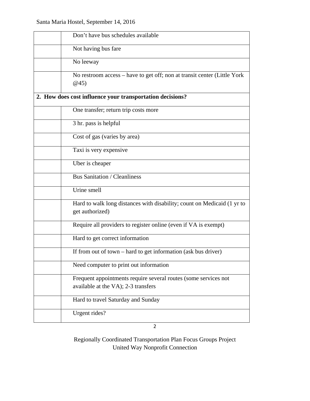| Don't have bus schedules available                                                                     |
|--------------------------------------------------------------------------------------------------------|
| Not having bus fare                                                                                    |
| No leeway                                                                                              |
| No restroom access – have to get off; non at transit center (Little York<br>@45)                       |
| 2. How does cost influence your transportation decisions?                                              |
| One transfer; return trip costs more                                                                   |
| 3 hr. pass is helpful                                                                                  |
| Cost of gas (varies by area)                                                                           |
| Taxi is very expensive                                                                                 |
| Uber is cheaper                                                                                        |
| <b>Bus Sanitation / Cleanliness</b>                                                                    |
| Urine smell                                                                                            |
| Hard to walk long distances with disability; count on Medicaid (1 yr to<br>get authorized)             |
| Require all providers to register online (even if VA is exempt)                                        |
| Hard to get correct information                                                                        |
| If from out of town $-$ hard to get information (ask bus driver)                                       |
| Need computer to print out information                                                                 |
| Frequent appointments require several routes (some services not<br>available at the VA); 2-3 transfers |
| Hard to travel Saturday and Sunday                                                                     |
| Urgent rides?                                                                                          |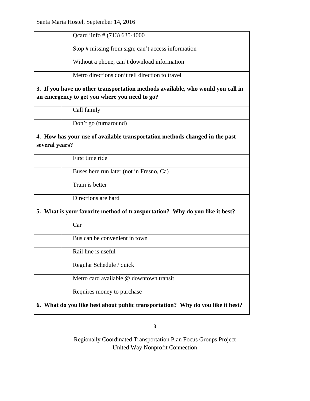| Qcard iinfo # (713) 635-4000                                                                                                     |
|----------------------------------------------------------------------------------------------------------------------------------|
| Stop # missing from sign; can't access information                                                                               |
| Without a phone, can't download information                                                                                      |
| Metro directions don't tell direction to travel                                                                                  |
| 3. If you have no other transportation methods available, who would you call in<br>an emergency to get you where you need to go? |
| Call family                                                                                                                      |
| Don't go (turnaround)                                                                                                            |
| 4. How has your use of available transportation methods changed in the past<br>several years?                                    |
| First time ride                                                                                                                  |
| Buses here run later (not in Fresno, Ca)                                                                                         |
| Train is better                                                                                                                  |
| Directions are hard                                                                                                              |
| 5. What is your favorite method of transportation? Why do you like it best?                                                      |
| Car                                                                                                                              |
| Bus can be convenient in town                                                                                                    |
| Rail line is useful                                                                                                              |
| Regular Schedule / quick                                                                                                         |
| Metro card available @ downtown transit                                                                                          |
| Requires money to purchase                                                                                                       |
| 6. What do you like best about public transportation? Why do you like it best?                                                   |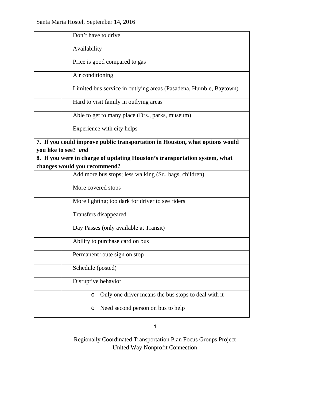| Don't have to drive                                                                                                                                                                                                |
|--------------------------------------------------------------------------------------------------------------------------------------------------------------------------------------------------------------------|
| Availability                                                                                                                                                                                                       |
| Price is good compared to gas                                                                                                                                                                                      |
| Air conditioning                                                                                                                                                                                                   |
| Limited bus service in outlying areas (Pasadena, Humble, Baytown)                                                                                                                                                  |
| Hard to visit family in outlying areas                                                                                                                                                                             |
| Able to get to many place (Drs., parks, museum)                                                                                                                                                                    |
| Experience with city helps                                                                                                                                                                                         |
| 7. If you could improve public transportation in Houston, what options would<br>you like to see? and<br>8. If you were in charge of updating Houston's transportation system, what<br>changes would you recommend? |
| Add more bus stops; less walking (Sr., bags, children)                                                                                                                                                             |
| More covered stops                                                                                                                                                                                                 |
| More lighting; too dark for driver to see riders                                                                                                                                                                   |
| Transfers disappeared                                                                                                                                                                                              |
| Day Passes (only available at Transit)                                                                                                                                                                             |
| Ability to purchase card on bus                                                                                                                                                                                    |
| Permanent route sign on stop                                                                                                                                                                                       |
| Schedule (posted)                                                                                                                                                                                                  |
| Disruptive behavior                                                                                                                                                                                                |
| Only one driver means the bus stops to deal with it<br>O                                                                                                                                                           |
| Need second person on bus to help<br>O                                                                                                                                                                             |
|                                                                                                                                                                                                                    |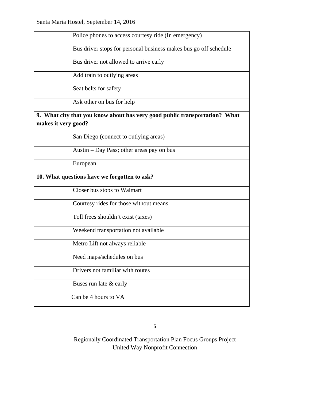|                     | Police phones to access courtesy ride (In emergency)                       |
|---------------------|----------------------------------------------------------------------------|
|                     | Bus driver stops for personal business makes bus go off schedule           |
|                     | Bus driver not allowed to arrive early                                     |
|                     | Add train to outlying areas                                                |
|                     | Seat belts for safety                                                      |
|                     | Ask other on bus for help                                                  |
|                     | 9. What city that you know about has very good public transportation? What |
| makes it very good? |                                                                            |
|                     |                                                                            |
|                     | San Diego (connect to outlying areas)                                      |
|                     | Austin – Day Pass; other areas pay on bus                                  |
|                     | European                                                                   |
|                     | 10. What questions have we forgotten to ask?                               |
|                     | Closer bus stops to Walmart                                                |
|                     | Courtesy rides for those without means                                     |
|                     | Toll frees shouldn't exist (taxes)                                         |
|                     | Weekend transportation not available                                       |
|                     | Metro Lift not always reliable                                             |
|                     | Need maps/schedules on bus                                                 |
|                     | Drivers not familiar with routes                                           |
|                     | Buses run late & early                                                     |
|                     | Can be 4 hours to VA                                                       |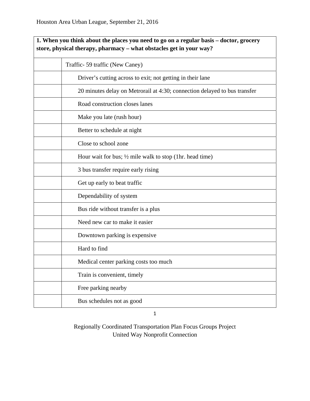| 1. When you think about the places you need to go on a regular basis – doctor, grocery<br>store, physical therapy, pharmacy - what obstacles get in your way? |  |
|---------------------------------------------------------------------------------------------------------------------------------------------------------------|--|
| Traffic-59 traffic (New Caney)                                                                                                                                |  |
| Driver's cutting across to exit; not getting in their lane                                                                                                    |  |
| 20 minutes delay on Metrorail at 4:30; connection delayed to bus transfer                                                                                     |  |
| Road construction closes lanes                                                                                                                                |  |
| Make you late (rush hour)                                                                                                                                     |  |
| Better to schedule at night                                                                                                                                   |  |
| Close to school zone                                                                                                                                          |  |
| Hour wait for bus; $\frac{1}{2}$ mile walk to stop (1hr. head time)                                                                                           |  |
| 3 bus transfer require early rising                                                                                                                           |  |
| Get up early to beat traffic                                                                                                                                  |  |
| Dependability of system                                                                                                                                       |  |
| Bus ride without transfer is a plus                                                                                                                           |  |
| Need new car to make it easier                                                                                                                                |  |
| Downtown parking is expensive.                                                                                                                                |  |
| Hard to find                                                                                                                                                  |  |
| Medical center parking costs too much                                                                                                                         |  |
| Train is convenient, timely                                                                                                                                   |  |
| Free parking nearby                                                                                                                                           |  |
| Bus schedules not as good                                                                                                                                     |  |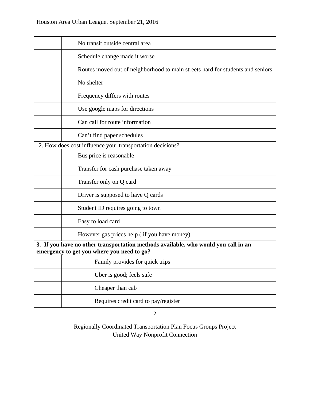|                                                                                                                                  | No transit outside central area                                                |
|----------------------------------------------------------------------------------------------------------------------------------|--------------------------------------------------------------------------------|
|                                                                                                                                  | Schedule change made it worse                                                  |
|                                                                                                                                  | Routes moved out of neighborhood to main streets hard for students and seniors |
|                                                                                                                                  | No shelter                                                                     |
|                                                                                                                                  | Frequency differs with routes                                                  |
|                                                                                                                                  | Use google maps for directions                                                 |
|                                                                                                                                  | Can call for route information                                                 |
|                                                                                                                                  | Can't find paper schedules                                                     |
|                                                                                                                                  | 2. How does cost influence your transportation decisions?                      |
|                                                                                                                                  | Bus price is reasonable                                                        |
|                                                                                                                                  | Transfer for cash purchase taken away                                          |
|                                                                                                                                  | Transfer only on Q card                                                        |
|                                                                                                                                  | Driver is supposed to have Q cards                                             |
|                                                                                                                                  | Student ID requires going to town                                              |
|                                                                                                                                  | Easy to load card                                                              |
|                                                                                                                                  | However gas prices help (if you have money)                                    |
| 3. If you have no other transportation methods available, who would you call in an<br>emergency to get you where you need to go? |                                                                                |
|                                                                                                                                  | Family provides for quick trips                                                |
|                                                                                                                                  | Uber is good; feels safe                                                       |
|                                                                                                                                  | Cheaper than cab                                                               |
|                                                                                                                                  | Requires credit card to pay/register                                           |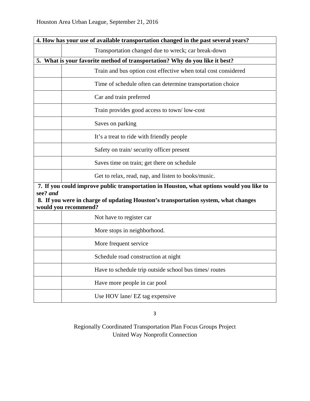| 4. How has your use of available transportation changed in the past several years? |                                                                                          |
|------------------------------------------------------------------------------------|------------------------------------------------------------------------------------------|
|                                                                                    | Transportation changed due to wreck; car break-down                                      |
|                                                                                    | 5. What is your favorite method of transportation? Why do you like it best?              |
|                                                                                    | Train and bus option cost effective when total cost considered                           |
|                                                                                    | Time of schedule often can determine transportation choice                               |
|                                                                                    | Car and train preferred                                                                  |
|                                                                                    | Train provides good access to town/low-cost                                              |
|                                                                                    | Saves on parking                                                                         |
|                                                                                    | It's a treat to ride with friendly people                                                |
|                                                                                    | Safety on train/security officer present                                                 |
|                                                                                    | Saves time on train; get there on schedule                                               |
|                                                                                    | Get to relax, read, nap, and listen to books/music.                                      |
|                                                                                    | 7. If you could improve public transportation in Houston, what options would you like to |
| see? and                                                                           | 8. If you were in charge of updating Houston's transportation system, what changes       |
|                                                                                    | would you recommend?                                                                     |
|                                                                                    | Not have to register car                                                                 |
|                                                                                    | More stops in neighborhood.                                                              |
|                                                                                    | More frequent service                                                                    |
|                                                                                    | Schedule road construction at night                                                      |
|                                                                                    | Have to schedule trip outside school bus times/ routes                                   |
|                                                                                    | Have more people in car pool                                                             |
|                                                                                    | Use HOV lane/ EZ tag expensive                                                           |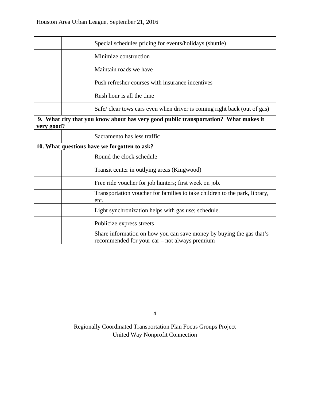|            | Special schedules pricing for events/holidays (shuttle)                                                               |  |
|------------|-----------------------------------------------------------------------------------------------------------------------|--|
|            | Minimize construction                                                                                                 |  |
|            | Maintain roads we have                                                                                                |  |
|            | Push refresher courses with insurance incentives                                                                      |  |
|            | Rush hour is all the time                                                                                             |  |
|            | Safe/clear tows cars even when driver is coming right back (out of gas)                                               |  |
| very good? | 9. What city that you know about has very good public transportation? What makes it                                   |  |
|            | Sacramento has less traffic                                                                                           |  |
|            | 10. What questions have we forgotten to ask?                                                                          |  |
|            | Round the clock schedule                                                                                              |  |
|            | Transit center in outlying areas (Kingwood)                                                                           |  |
|            | Free ride voucher for job hunters; first week on job.                                                                 |  |
|            | Transportation voucher for families to take children to the park, library,<br>etc.                                    |  |
|            | Light synchronization helps with gas use; schedule.                                                                   |  |
|            | Publicize express streets                                                                                             |  |
|            | Share information on how you can save money by buying the gas that's<br>recommended for your car – not always premium |  |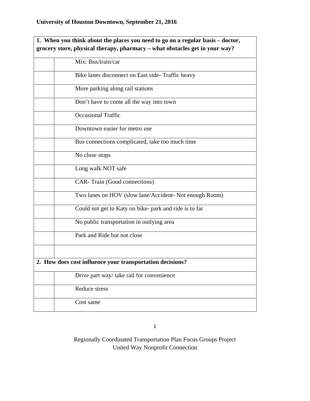| 1. When you think about the places you need to go on a regular basis – doctor, |
|--------------------------------------------------------------------------------|
| grocery store, physical therapy, pharmacy - what obstacles get in your way?    |
| Mix: Bus/train/car                                                             |
| Bike lanes disconnect on East side- Traffic heavy                              |
| More parking along rail stations                                               |
| Don't have to come all the way into town                                       |
| <b>Occasional Traffic</b>                                                      |
| Downtown easier for metro use                                                  |
| Bus connections complicated, take too much time                                |
| No close stops                                                                 |
| Long walk NOT safe                                                             |
| CAR-Train (Good connections)                                                   |
| Two lanes on HOV (slow lane/Accident- Not enough Room)                         |
| Could not get to Katy on bike- park and ride is to far                         |
| No public transportation in outlying area                                      |
| Park and Ride but not close                                                    |
|                                                                                |
| 2. How does cost influence your transportation decisions?                      |
| Drive part way/take rail for convenience                                       |
| Reduce stress                                                                  |
| Cost same                                                                      |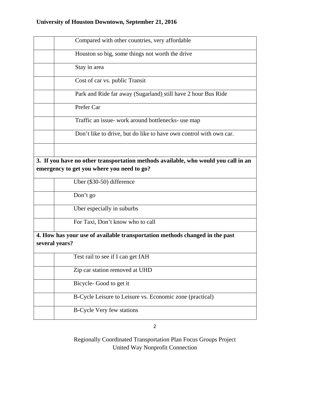# **University of Houston Downtown, September 21, 2016**

| Compared with other countries, very affordable                                                                                   |
|----------------------------------------------------------------------------------------------------------------------------------|
| Houston so big, some things not worth the drive                                                                                  |
| Stay in area                                                                                                                     |
| Cost of car vs. public Transit                                                                                                   |
| Park and Ride far away (Sugarland) still have 2 hour Bus Ride                                                                    |
| Prefer Car                                                                                                                       |
| Traffic an issue- work around bottlenecks- use map                                                                               |
| Don't like to drive, but do like to have own control with own car.                                                               |
|                                                                                                                                  |
| 3. If you have no other transportation methods available, who would you call in an<br>emergency to get you where you need to go? |
| Uber (\$30-50) difference                                                                                                        |
| Don't go                                                                                                                         |
| Uber especially in suburbs                                                                                                       |
| For Taxi, Don't know who to call                                                                                                 |
| 4. How has your use of available transportation methods changed in the past<br>several years?                                    |
| Test rail to see if I can get IAH                                                                                                |
| Zip car station removed at UHD                                                                                                   |
| Bicycle-Good to get it                                                                                                           |
| B-Cycle Leisure to Leisure vs. Economic zone (practical)                                                                         |
| <b>B-Cycle Very few stations</b>                                                                                                 |

2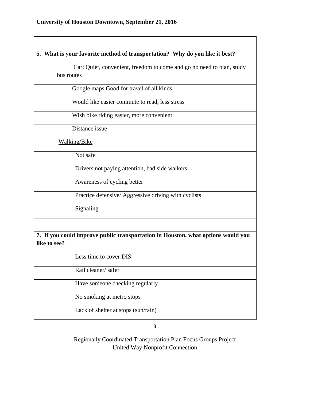|              | 5. What is your favorite method of transportation? Why do you like it best?         |
|--------------|-------------------------------------------------------------------------------------|
|              | Car: Quiet, convenient, freedom to come and go no need to plan, study<br>bus routes |
|              | Google maps Good for travel of all kinds                                            |
|              | Would like easier commute to read, less stress                                      |
|              | Wish bike riding easier, more convenient                                            |
|              | Distance issue                                                                      |
|              | <b>Walking/Bike</b>                                                                 |
|              | Not safe                                                                            |
|              | Drivers not paying attention, bad side walkers                                      |
|              | Awareness of cycling better                                                         |
|              | Practice defensive/ Aggressive driving with cyclists                                |
|              | Signaling                                                                           |
|              |                                                                                     |
| like to see? | 7. If you could improve public transportation in Houston, what options would you    |
|              | Less time to cover DIS                                                              |
|              | Rail cleaner/safer                                                                  |
|              | Have someone checking regularly                                                     |
|              | No smoking at metro stops                                                           |
|              | Lack of shelter at stops (sun/rain)                                                 |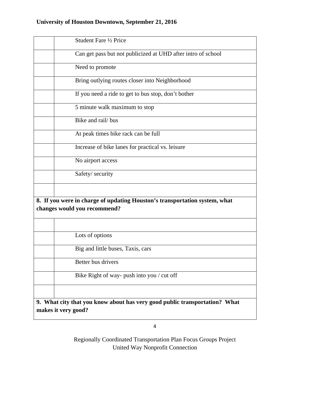| Student Fare 1/2 Price                                                                                     |
|------------------------------------------------------------------------------------------------------------|
| Can get pass but not publicized at UHD after intro of school                                               |
| Need to promote                                                                                            |
| Bring outlying routes closer into Neighborhood                                                             |
| If you need a ride to get to bus stop, don't bother                                                        |
| 5 minute walk maximum to stop                                                                              |
| Bike and rail/ bus                                                                                         |
| At peak times bike rack can be full                                                                        |
| Increase of bike lanes for practical vs. leisure                                                           |
| No airport access                                                                                          |
| Safety/ security                                                                                           |
|                                                                                                            |
| 8. If you were in charge of updating Houston's transportation system, what<br>changes would you recommend? |
|                                                                                                            |
| Lots of options                                                                                            |
| Big and little buses, Taxis, cars                                                                          |
| Better bus drivers                                                                                         |
| Bike Right of way- push into you / cut off                                                                 |
|                                                                                                            |
| 9. What city that you know about has very good public transportation? What<br>makes it very good?          |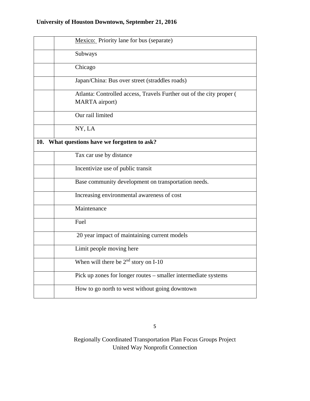|     | Mexico: Priority lane for bus (separate)                             |
|-----|----------------------------------------------------------------------|
|     | Subways                                                              |
|     | Chicago                                                              |
|     | Japan/China: Bus over street (straddles roads)                       |
|     | Atlanta: Controlled access, Travels Further out of the city proper ( |
|     | <b>MARTA</b> airport)                                                |
|     | Our rail limited                                                     |
|     | NY, LA                                                               |
| 10. | What questions have we forgotten to ask?                             |
|     | Tax car use by distance                                              |
|     | Incentivize use of public transit                                    |
|     | Base community development on transportation needs.                  |
|     | Increasing environmental awareness of cost                           |
|     | Maintenance                                                          |
|     | Fuel                                                                 |
|     | 20 year impact of maintaining current models                         |
|     | Limit people moving here                                             |
|     | When will there be $2nd$ story on I-10                               |
|     | Pick up zones for longer routes – smaller intermediate systems       |
|     | How to go north to west without going downtown                       |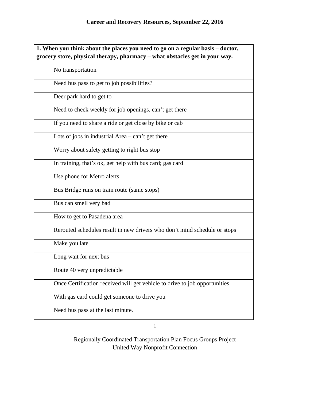| 1. When you think about the places you need to go on a regular basis – doctor, |  |
|--------------------------------------------------------------------------------|--|
| grocery store, physical therapy, pharmacy - what obstacles get in your way.    |  |
| No transportation                                                              |  |
| Need bus pass to get to job possibilities?                                     |  |
| Deer park hard to get to                                                       |  |
| Need to check weekly for job openings, can't get there                         |  |
| If you need to share a ride or get close by bike or cab                        |  |
| Lots of jobs in industrial $Area - can't get there$                            |  |
| Worry about safety getting to right bus stop                                   |  |
| In training, that's ok, get help with bus card; gas card                       |  |
| Use phone for Metro alerts                                                     |  |
| Bus Bridge runs on train route (same stops)                                    |  |
| Bus can smell very bad                                                         |  |
| How to get to Pasadena area                                                    |  |
| Rerouted schedules result in new drivers who don't mind schedule or stops      |  |
| Make you late                                                                  |  |
| Long wait for next bus                                                         |  |
| Route 40 very unpredictable                                                    |  |
| Once Certification received will get vehicle to drive to job opportunities     |  |
| With gas card could get someone to drive you                                   |  |
| Need bus pass at the last minute.                                              |  |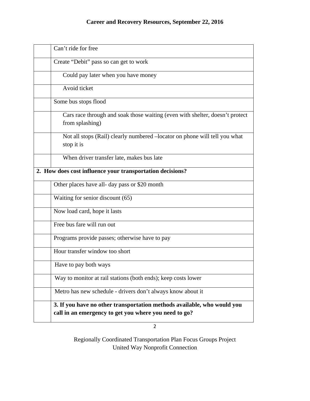| Can't ride for free                                                                                                              |  |
|----------------------------------------------------------------------------------------------------------------------------------|--|
| Create "Debit" pass so can get to work                                                                                           |  |
| Could pay later when you have money                                                                                              |  |
| Avoid ticket                                                                                                                     |  |
| Some bus stops flood                                                                                                             |  |
| Cars race through and soak those waiting (even with shelter, doesn't protect<br>from splashing)                                  |  |
| Not all stops (Rail) clearly numbered -locator on phone will tell you what<br>stop it is                                         |  |
| When driver transfer late, makes bus late                                                                                        |  |
| 2. How does cost influence your transportation decisions?                                                                        |  |
| Other places have all- day pass or \$20 month                                                                                    |  |
| Waiting for senior discount (65)                                                                                                 |  |
| Now load card, hope it lasts                                                                                                     |  |
| Free bus fare will run out                                                                                                       |  |
| Programs provide passes; otherwise have to pay                                                                                   |  |
| Hour transfer window too short                                                                                                   |  |
| Have to pay both ways                                                                                                            |  |
| Way to monitor at rail stations (both ends); keep costs lower                                                                    |  |
| Metro has new schedule - drivers don't always know about it                                                                      |  |
| 3. If you have no other transportation methods available, who would you<br>call in an emergency to get you where you need to go? |  |

 $\overline{2}$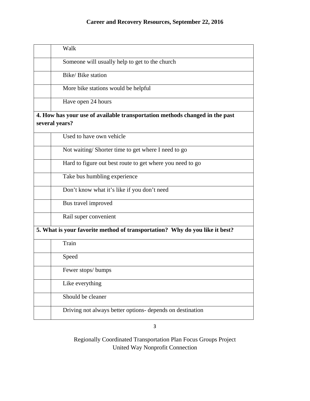| Walk                                                                                          |
|-----------------------------------------------------------------------------------------------|
| Someone will usually help to get to the church                                                |
| Bike/Bike station                                                                             |
| More bike stations would be helpful                                                           |
| Have open 24 hours                                                                            |
| 4. How has your use of available transportation methods changed in the past<br>several years? |
| Used to have own vehicle                                                                      |
| Not waiting/Shorter time to get where I need to go                                            |
| Hard to figure out best route to get where you need to go                                     |
| Take bus humbling experience                                                                  |
| Don't know what it's like if you don't need                                                   |
| Bus travel improved                                                                           |
| Rail super convenient                                                                         |
| 5. What is your favorite method of transportation? Why do you like it best?                   |
| Train                                                                                         |
| Speed                                                                                         |
| Fewer stops/bumps                                                                             |
| Like everything                                                                               |
| Should be cleaner                                                                             |
| Driving not always better options- depends on destination                                     |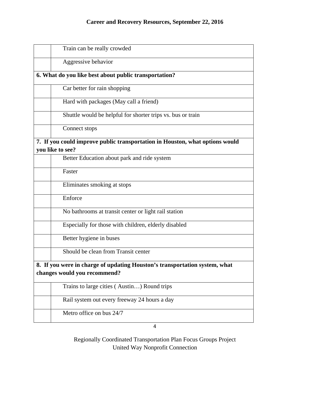| Train can be really crowded                                                                                |
|------------------------------------------------------------------------------------------------------------|
| Aggressive behavior                                                                                        |
| 6. What do you like best about public transportation?                                                      |
| Car better for rain shopping                                                                               |
| Hard with packages (May call a friend)                                                                     |
| Shuttle would be helpful for shorter trips vs. bus or train                                                |
| Connect stops                                                                                              |
| 7. If you could improve public transportation in Houston, what options would<br>you like to see?           |
| Better Education about park and ride system                                                                |
| Faster                                                                                                     |
| Eliminates smoking at stops                                                                                |
| Enforce                                                                                                    |
| No bathrooms at transit center or light rail station                                                       |
| Especially for those with children, elderly disabled                                                       |
| Better hygiene in buses                                                                                    |
| Should be clean from Transit center                                                                        |
| 8. If you were in charge of updating Houston's transportation system, what<br>changes would you recommend? |
| Trains to large cities (Austin) Round trips                                                                |
| Rail system out every freeway 24 hours a day                                                               |
| Metro office on bus 24/7                                                                                   |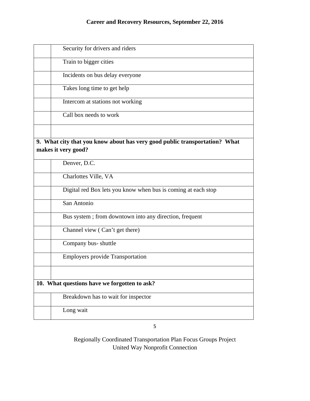| Security for drivers and riders                                            |  |
|----------------------------------------------------------------------------|--|
| Train to bigger cities                                                     |  |
| Incidents on bus delay everyone                                            |  |
| Takes long time to get help                                                |  |
| Intercom at stations not working                                           |  |
| Call box needs to work                                                     |  |
|                                                                            |  |
| 9. What city that you know about has very good public transportation? What |  |
|                                                                            |  |
| makes it very good?                                                        |  |
|                                                                            |  |
| Denver, D.C.                                                               |  |
| Charlottes Ville, VA                                                       |  |
| Digital red Box lets you know when bus is coming at each stop              |  |
| San Antonio                                                                |  |
| Bus system; from downtown into any direction, frequent                     |  |
| Channel view (Can't get there)                                             |  |
| Company bus-shuttle                                                        |  |
| <b>Employers provide Transportation</b>                                    |  |
|                                                                            |  |
| 10. What questions have we forgotten to ask?                               |  |
| Breakdown has to wait for inspector                                        |  |
| Long wait                                                                  |  |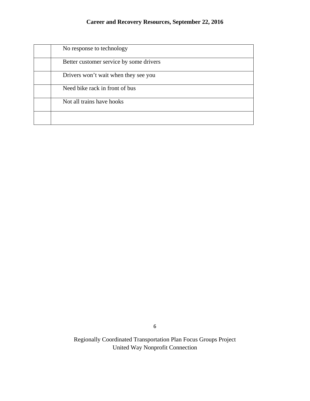| No response to technology               |
|-----------------------------------------|
| Better customer service by some drivers |
| Drivers won't wait when they see you    |
| Need bike rack in front of bus          |
| Not all trains have hooks               |
|                                         |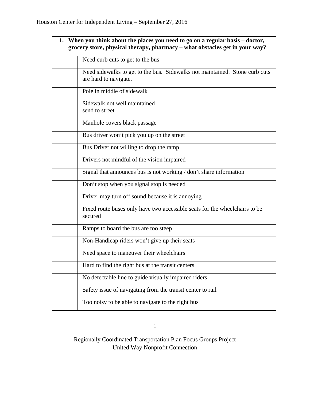| 1. When you think about the places you need to go on a regular basis – doctor,<br>grocery store, physical therapy, pharmacy - what obstacles get in your way? |
|---------------------------------------------------------------------------------------------------------------------------------------------------------------|
| Need curb cuts to get to the bus                                                                                                                              |
| Need sidewalks to get to the bus. Sidewalks not maintained. Stone curb cuts<br>are hard to navigate.                                                          |
| Pole in middle of sidewalk                                                                                                                                    |
| Sidewalk not well maintained<br>send to street                                                                                                                |
| Manhole covers black passage                                                                                                                                  |
| Bus driver won't pick you up on the street                                                                                                                    |
| Bus Driver not willing to drop the ramp                                                                                                                       |
| Drivers not mindful of the vision impaired                                                                                                                    |
| Signal that announces bus is not working / don't share information                                                                                            |
| Don't stop when you signal stop is needed                                                                                                                     |
| Driver may turn off sound because it is annoying                                                                                                              |
| Fixed route buses only have two accessible seats for the wheelchairs to be<br>secured                                                                         |
| Ramps to board the bus are too steep                                                                                                                          |
| Non-Handicap riders won't give up their seats                                                                                                                 |
| Need space to maneuver their wheelchairs                                                                                                                      |
| Hard to find the right bus at the transit centers                                                                                                             |
| No detectable line to guide visually impaired riders                                                                                                          |
| Safety issue of navigating from the transit center to rail                                                                                                    |
| Too noisy to be able to navigate to the right bus                                                                                                             |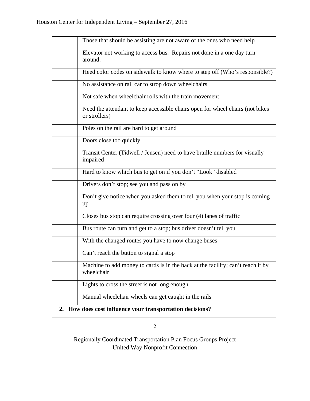| Those that should be assisting are not aware of the ones who need help                         |
|------------------------------------------------------------------------------------------------|
| Elevator not working to access bus. Repairs not done in a one day turn<br>around.              |
| Heed color codes on sidewalk to know where to step off (Who's responsible?)                    |
| No assistance on rail car to strop down wheelchairs                                            |
| Not safe when wheelchair rolls with the train movement                                         |
| Need the attendant to keep accessible chairs open for wheel chairs (not bikes<br>or strollers) |
| Poles on the rail are hard to get around                                                       |
| Doors close too quickly                                                                        |
| Transit Center (Tidwell / Jensen) need to have braille numbers for visually<br>impaired        |
| Hard to know which bus to get on if you don't "Look" disabled                                  |
| Drivers don't stop; see you and pass on by                                                     |
| Don't give notice when you asked them to tell you when your stop is coming<br>up               |
| Closes bus stop can require crossing over four (4) lanes of traffic                            |
| Bus route can turn and get to a stop; bus driver doesn't tell you                              |
| With the changed routes you have to now change buses                                           |
| Can't reach the button to signal a stop                                                        |
| Machine to add money to cards is in the back at the facility; can't reach it by<br>wheelchair  |
| Lights to cross the street is not long enough                                                  |
| Manual wheelchair wheels can get caught in the rails                                           |
| 2. How does cost influence your transportation decisions?                                      |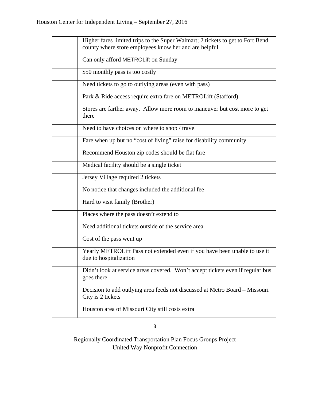| Higher fares limited trips to the Super Walmart; 2 tickets to get to Fort Bend<br>county where store employees know her and are helpful |
|-----------------------------------------------------------------------------------------------------------------------------------------|
| Can only afford METROLift on Sunday                                                                                                     |
| \$50 monthly pass is too costly                                                                                                         |
| Need tickets to go to outlying areas (even with pass)                                                                                   |
| Park & Ride access require extra fare on METROLift (Stafford)                                                                           |
| Stores are farther away. Allow more room to maneuver but cost more to get<br>there                                                      |
| Need to have choices on where to shop / travel                                                                                          |
| Fare when up but no "cost of living" raise for disability community                                                                     |
| Recommend Houston zip codes should be flat fare                                                                                         |
| Medical facility should be a single ticket                                                                                              |
| Jersey Village required 2 tickets                                                                                                       |
| No notice that changes included the additional fee                                                                                      |
| Hard to visit family (Brother)                                                                                                          |
| Places where the pass doesn't extend to                                                                                                 |
| Need additional tickets outside of the service area                                                                                     |
| Cost of the pass went up                                                                                                                |
| Yearly METROLift Pass not extended even if you have been unable to use it<br>due to hospitalization                                     |
| Didn't look at service areas covered. Won't accept tickets even if regular bus<br>goes there                                            |
| Decision to add outlying area feeds not discussed at Metro Board - Missouri<br>City is 2 tickets                                        |
| Houston area of Missouri City still costs extra                                                                                         |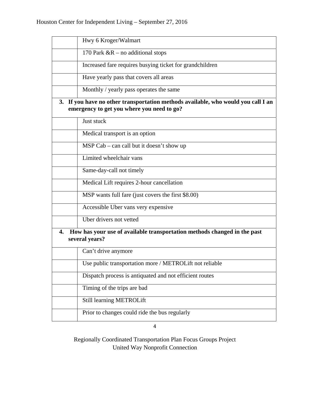| Hwy 6 Kroger/Walmart                                                                                                            |  |
|---------------------------------------------------------------------------------------------------------------------------------|--|
| 170 Park $\&R$ – no additional stops                                                                                            |  |
| Increased fare requires busying ticket for grandchildren                                                                        |  |
| Have yearly pass that covers all areas                                                                                          |  |
| Monthly / yearly pass operates the same                                                                                         |  |
| 3. If you have no other transportation methods available, who would you call I an<br>emergency to get you where you need to go? |  |
| Just stuck                                                                                                                      |  |
| Medical transport is an option                                                                                                  |  |
| MSP Cab – can call but it doesn't show up                                                                                       |  |
| Limited wheelchair vans                                                                                                         |  |
| Same-day-call not timely                                                                                                        |  |
| Medical Lift requires 2-hour cancellation                                                                                       |  |
| MSP wants full fare (just covers the first \$8.00)                                                                              |  |
| Accessible Uber vans very expensive                                                                                             |  |
| Uber drivers not vetted                                                                                                         |  |
| How has your use of available transportation methods changed in the past<br>4.<br>several years?                                |  |
| Can't drive anymore                                                                                                             |  |
| Use public transportation more / METROLift not reliable                                                                         |  |
| Dispatch process is antiquated and not efficient routes                                                                         |  |
| Timing of the trips are bad                                                                                                     |  |
| Still learning METROLift                                                                                                        |  |
| Prior to changes could ride the bus regularly                                                                                   |  |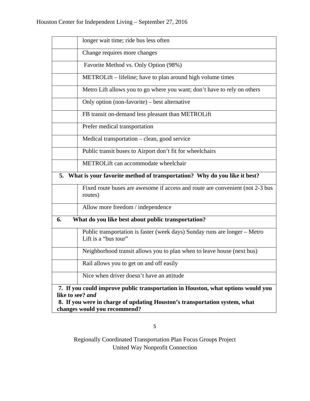| longer wait time; ride bus less often                                                              |
|----------------------------------------------------------------------------------------------------|
| Change requires more changes                                                                       |
| Favorite Method vs. Only Option (98%)                                                              |
| METROLift – lifeline; have to plan around high volume times                                        |
| Metro Lift allows you to go where you want; don't have to rely on others                           |
| Only option (non-favorite) – best alternative                                                      |
| FB transit on-demand less pleasant than METROLift                                                  |
| Prefer medical transportation                                                                      |
| Medical transportation – clean, good service                                                       |
| Public transit buses to Airport don't fit for wheelchairs                                          |
| METROLift can accommodate wheelchair                                                               |
| 5. What is your favorite method of transportation? Why do you like it best?                        |
| Fixed route buses are awesome if access and route are convenient (not 2-3 bus<br>routes)           |
| Allow more freedom / independence                                                                  |
| What do you like best about public transportation?<br>6.                                           |
| Public transportation is faster (week days) Sunday runs are longer – Metro<br>Lift is a "bus tour" |
| Neighborhood transit allows you to plan when to leave house (next bus)                             |
| Rail allows you to get on and off easily                                                           |
| Nice when driver doesn't have an attitude                                                          |
| 7. If you could improve public transportation in Houston, what options would you                   |
| like to see? and<br>8. If you were in charge of updating Houston's transportation system, what     |
| changes would you recommend?                                                                       |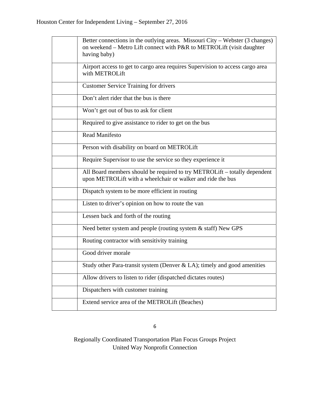| Better connections in the outlying areas. Missouri City – Webster (3 changes)<br>on weekend - Metro Lift connect with P&R to METROLift (visit daughter<br>having baby) |
|------------------------------------------------------------------------------------------------------------------------------------------------------------------------|
| Airport access to get to cargo area requires Supervision to access cargo area<br>with METROLift                                                                        |
| <b>Customer Service Training for drivers</b>                                                                                                                           |
| Don't alert rider that the bus is there                                                                                                                                |
| Won't get out of bus to ask for client                                                                                                                                 |
| Required to give assistance to rider to get on the bus                                                                                                                 |
| <b>Read Manifesto</b>                                                                                                                                                  |
| Person with disability on board on METROLift                                                                                                                           |
| Require Supervisor to use the service so they experience it                                                                                                            |
| All Board members should be required to try METROLift - totally dependent<br>upon METROLift with a wheelchair or walker and ride the bus                               |
| Dispatch system to be more efficient in routing                                                                                                                        |
| Listen to driver's opinion on how to route the van                                                                                                                     |
| Lessen back and forth of the routing                                                                                                                                   |
| Need better system and people (routing system & staff) New GPS                                                                                                         |
| Routing contractor with sensitivity training                                                                                                                           |
| Good driver morale                                                                                                                                                     |
| Study other Para-transit system (Denver $\&$ LA); timely and good amenities                                                                                            |
| Allow drivers to listen to rider (dispatched dictates routes)                                                                                                          |
| Dispatchers with customer training                                                                                                                                     |
| Extend service area of the METROLift (Beaches)                                                                                                                         |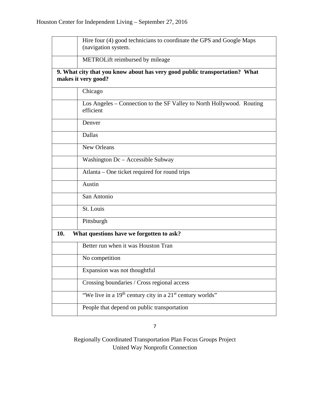|     | Hire four (4) good technicians to coordinate the GPS and Google Maps<br>(navigation system.       |
|-----|---------------------------------------------------------------------------------------------------|
|     | METROLift reimbursed by mileage                                                                   |
|     | 9. What city that you know about has very good public transportation? What<br>makes it very good? |
|     | Chicago                                                                                           |
|     | Los Angeles – Connection to the SF Valley to North Hollywood. Routing<br>efficient                |
|     | Denver                                                                                            |
|     | Dallas                                                                                            |
|     | New Orleans                                                                                       |
|     | Washington Dc - Accessible Subway                                                                 |
|     | Atlanta – One ticket required for round trips                                                     |
|     | Austin                                                                                            |
|     | San Antonio                                                                                       |
|     | St. Louis                                                                                         |
|     | Pittsburgh                                                                                        |
| 10. | What questions have we forgotten to ask?                                                          |
|     | Better run when it was Houston Tran                                                               |
|     | No competition                                                                                    |
|     | Expansion was not thoughtful                                                                      |
|     | Crossing boundaries / Cross regional access                                                       |
|     | "We live in a 19 <sup>th</sup> century city in a 21 <sup>st</sup> century worlds"                 |
|     | People that depend on public transportation                                                       |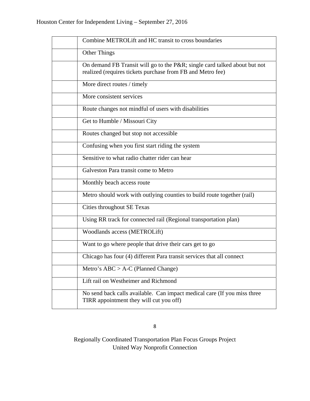| Combine METROLift and HC transit to cross boundaries                                                                                   |  |
|----------------------------------------------------------------------------------------------------------------------------------------|--|
| <b>Other Things</b>                                                                                                                    |  |
| On demand FB Transit will go to the P&R single card talked about but not<br>realized (requires tickets purchase from FB and Metro fee) |  |
| More direct routes / timely                                                                                                            |  |
| More consistent services                                                                                                               |  |
| Route changes not mindful of users with disabilities                                                                                   |  |
| Get to Humble / Missouri City                                                                                                          |  |
| Routes changed but stop not accessible                                                                                                 |  |
| Confusing when you first start riding the system                                                                                       |  |
| Sensitive to what radio chatter rider can hear                                                                                         |  |
| Galveston Para transit come to Metro                                                                                                   |  |
| Monthly beach access route                                                                                                             |  |
| Metro should work with outlying counties to build route together (rail)                                                                |  |
| Cities throughout SE Texas                                                                                                             |  |
| Using RR track for connected rail (Regional transportation plan)                                                                       |  |
| Woodlands access (METROLift)                                                                                                           |  |
| Want to go where people that drive their cars get to go                                                                                |  |
| Chicago has four (4) different Para transit services that all connect                                                                  |  |
| Metro's $ABC > A-C$ (Planned Change)                                                                                                   |  |
| Lift rail on Westheimer and Richmond                                                                                                   |  |
| No send back calls available. Can impact medical care (If you miss three<br>TIRR appointment they will cut you off)                    |  |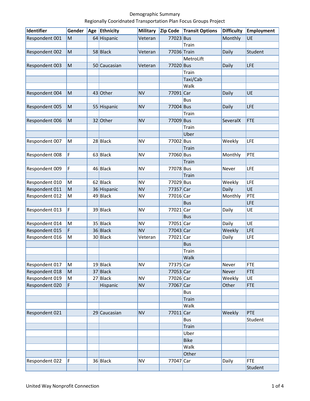#### Demographic Summary Regionally Cooridnated Transportation Plan Focus Groups Project

| Identifier     | Gender | Age | Ethnicity    | <b>Military</b> | Zip Code    | <b>Transit Options</b> | <b>Difficulty</b> | <b>Employment</b> |
|----------------|--------|-----|--------------|-----------------|-------------|------------------------|-------------------|-------------------|
| Respondent 001 | M      |     | 64 Hispanic  | Veteran         | 77023 Bus   |                        | Monthly           | UE                |
|                |        |     |              |                 |             | Train                  |                   |                   |
| Respondent 002 | M      |     | 58 Black     | Veteran         | 77036 Train |                        | Daily             | Student           |
|                |        |     |              |                 |             | MetroLift              |                   |                   |
| Respondent 003 | M      |     | 50 Caucasian | Veteran         | 77020 Bus   |                        | Daily             | LFE               |
|                |        |     |              |                 |             | Train                  |                   |                   |
|                |        |     |              |                 |             | Taxi/Cab               |                   |                   |
|                |        |     |              |                 |             | Walk                   |                   |                   |
| Respondent 004 | M      |     | 43 Other     | <b>NV</b>       | 77091 Car   |                        | Daily             | <b>UE</b>         |
|                |        |     |              |                 |             | <b>Bus</b>             |                   |                   |
| Respondent 005 | M      |     | 55 Hispanic  | <b>NV</b>       | 77004 Bus   |                        | Daily             | LFE               |
|                |        |     |              |                 |             | Train                  |                   |                   |
| Respondent 006 | M      |     | 32 Other     | <b>NV</b>       | 77009 Bus   |                        | SeveralX          | <b>FTE</b>        |
|                |        |     |              |                 |             | Train                  |                   |                   |
|                |        |     |              |                 |             | Uber                   |                   |                   |
| Respondent 007 | M      |     | 28 Black     | <b>NV</b>       | 77002 Bus   |                        | Weekly            | LFE               |
|                |        |     |              |                 |             | Train                  |                   |                   |
| Respondent 008 | F      |     | 63 Black     | <b>NV</b>       | 77060 Bus   |                        | Monthly           | PTE               |
|                |        |     |              |                 |             | Train                  |                   |                   |
| Respondent 009 | F      |     | 46 Black     | <b>NV</b>       | 77078 Bus   |                        | Never             | LFE               |
|                |        |     |              |                 |             | Train                  |                   |                   |
| Respondent 010 | M      |     | 62 Black     | <b>NV</b>       | 77029 Bus   |                        | Weekly            | LFE               |
| Respondent 011 | M      |     | 36 Hispanic  | <b>NV</b>       | 77357 Car   |                        | Daily             | UE                |
| Respondent 012 | M      |     | $49$ Black   | <b>NV</b>       | 77016 Car   |                        | Monthly           | PTE               |
|                |        |     |              |                 |             | <b>Bus</b>             |                   | LFE               |
| Respondent 013 | F      |     | 39 Black     | <b>NV</b>       | 77021 Car   |                        | Daily             | UE                |
|                |        |     |              |                 |             | <b>Bus</b>             |                   |                   |
| Respondent 014 | M      |     | 35 Black     | <b>NV</b>       | 77051 Car   |                        | Daily             | UE                |
| Respondent 015 | F      |     | 36 Black     | <b>NV</b>       | 77043 Car   |                        | Weekly            | <b>LFE</b>        |
| Respondent 016 | M      |     | 30 Black     | Veteran         | 77021 Car   |                        | Daily             | <b>LFE</b>        |
|                |        |     |              |                 |             | <b>Bus</b>             |                   |                   |
|                |        |     |              |                 |             | Train                  |                   |                   |
|                |        |     |              |                 |             | Walk                   |                   |                   |
| Respondent 017 | M      |     | $19$ Black   | <b>NV</b>       | 77375 Car   |                        | Never             | <b>FTE</b>        |
| Respondent 018 | M      | 37  | Black        |                 | 77053 Car   |                        | Never             | <b>FTE</b>        |
| Respondent 019 | M      | 27  | Black        | <b>NV</b>       | 77026 Car   |                        | Weekly            | UE                |
| Respondent 020 | F      |     | Hispanic     | <b>NV</b>       | 77067 Car   |                        | Other             | <b>FTE</b>        |
|                |        |     |              |                 |             | <b>Bus</b>             |                   |                   |
|                |        |     |              |                 |             | Train                  |                   |                   |
|                |        |     |              |                 |             | Walk                   |                   |                   |
| Respondent 021 |        |     | 29 Caucasian | <b>NV</b>       | 77011 Car   |                        | Weekly            | PTE               |
|                |        |     |              |                 |             | <b>Bus</b>             |                   | Student           |
|                |        |     |              |                 |             | Train                  |                   |                   |
|                |        |     |              |                 |             | Uber                   |                   |                   |
|                |        |     |              |                 |             | <b>Bike</b>            |                   |                   |
|                |        |     |              |                 |             | Walk                   |                   |                   |
|                |        |     |              |                 |             | Other                  |                   |                   |
| Respondent 022 | F      |     | 36 Black     | <b>NV</b>       | 77047 Car   |                        | Daily             | <b>FTE</b>        |
|                |        |     |              |                 |             |                        |                   | Student           |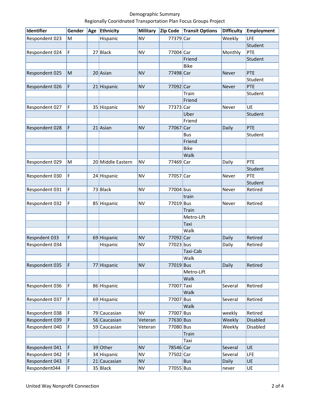#### Demographic Summary Regionally Cooridnated Transportation Plan Focus Groups Project

| Identifier     | Gender | Age | Ethnicity         | <b>Military</b> | Zip Code   | <b>Transit Options</b> | <b>Difficulty</b> | <b>Employment</b> |
|----------------|--------|-----|-------------------|-----------------|------------|------------------------|-------------------|-------------------|
| Respondent 023 | M      |     | Hispanic          | <b>NV</b>       | 77379 Car  |                        | Weekly            | LFE               |
|                |        |     |                   |                 |            |                        |                   | Student           |
| Respondent 024 | F      |     | 27 Black          | <b>NV</b>       | 77004 Car  |                        | Monthly           | PTE               |
|                |        |     |                   |                 |            | Friend                 |                   | Student           |
|                |        |     |                   |                 |            | <b>Bike</b>            |                   |                   |
| Respondent 025 | M      |     | 20 Asian          | <b>NV</b>       | 77498 Car  |                        | Never             | PTE               |
|                |        |     |                   |                 |            |                        |                   | Student           |
| Respondent 026 | F      |     | 21 Hispanic       | <b>NV</b>       | 77092 Car  |                        | Never             | PTE               |
|                |        |     |                   |                 |            | Train                  |                   | Student           |
|                |        |     |                   |                 |            | Friend                 |                   |                   |
| Respondent 027 | F      |     | 35 Hispanic       | <b>NV</b>       | 77373 Car  |                        | Never             | UE                |
|                |        |     |                   |                 |            | Uber                   |                   | Student           |
|                |        |     |                   |                 |            | Friend                 |                   |                   |
| Respondent 028 | F      |     | $21$ Asian        | <b>NV</b>       | 77067      | Car                    | Daily             | PTE               |
|                |        |     |                   |                 |            | <b>Bus</b>             |                   | Student           |
|                |        |     |                   |                 |            | Friend                 |                   |                   |
|                |        |     |                   |                 |            | <b>Bike</b>            |                   |                   |
|                |        |     |                   |                 |            | Walk                   |                   |                   |
| Respondent 029 | M      |     | 20 Middle Eastern | <b>NV</b>       | 77469 Car  |                        | Daily             | PTE               |
|                |        |     |                   |                 |            |                        |                   | Student           |
| Respondent 030 | F      |     | 24 Hispanic       | <b>NV</b>       | 77057 Car  |                        | Never             | PTE               |
|                |        |     |                   |                 |            |                        |                   | Student           |
| Respondent 031 | F      |     | 73 Black          | <b>NV</b>       | 77004 bus  |                        | Never             | Retired           |
|                |        |     |                   |                 |            | train                  |                   |                   |
| Respondent 032 | F      |     | 85 Hispanic       | <b>NV</b>       | 77019 Bus  |                        | Never             | Retired           |
|                |        |     |                   |                 |            | Train                  |                   |                   |
|                |        |     |                   |                 |            | Metro-Lift             |                   |                   |
|                |        |     |                   |                 |            | Taxi                   |                   |                   |
|                |        |     |                   |                 |            | Walk                   |                   |                   |
| Respndent 033  | F      |     | 69 Hispanic       | <b>NV</b>       | 77092 Car  |                        | Daily             | Retired           |
| Respondent 034 |        |     | Hispanic          | <b>NV</b>       | 77023 bus  |                        | Daily             | Retired           |
|                |        |     |                   |                 |            | Taxi-Cab               |                   |                   |
|                |        |     |                   |                 |            | Walk                   |                   |                   |
| Respondent 035 | F      |     | 77 Hispanic       | <b>NV</b>       | 77019 Bus  |                        | Daily             | Retired           |
|                |        |     |                   |                 |            | Metro-Lift             |                   |                   |
|                |        |     |                   |                 |            | Walk                   |                   |                   |
| Respondent 036 | F      |     | 86 Hispanic       |                 | 77007 Taxi |                        | Several           | Retired           |
|                |        |     |                   |                 |            | Walk                   |                   |                   |
| Respondent 037 | F      |     | 69 Hispanic       |                 | 77007 Bus  |                        | Several           | Retired           |
|                |        |     |                   |                 |            | Walk                   |                   |                   |
| Respondent 038 | F      |     | 79 Caucasian      | <b>NV</b>       | 77007 Bus  |                        | weekly            | Retired           |
| Respondent 039 | F      |     | 56 Caucasian      | Veteran         | 77630 Bus  |                        | Weekly            | Disabled          |
| Respondent 040 | F      |     | 59 Caucasian      | Veteran         | 77080 Bus  |                        | Weekly            | Disabled          |
|                |        |     |                   |                 |            | Train                  |                   |                   |
|                |        |     |                   |                 |            | Taxi                   |                   |                   |
| Respondent 041 | F      |     | 39 Other          | <b>NV</b>       | 78546 Car  |                        | Several           | UE                |
| Respondent 042 | F      |     | 34 Hispanic       | <b>NV</b>       | 77502 Car  |                        | Several           | <b>LFE</b>        |
| Respondent 043 | F      |     | 21 Caucasian      | <b>NV</b>       |            | <b>Bus</b>             | Daily             | UE                |
| Respondent044  | F      |     | 35 Black          | <b>NV</b>       | 77055 Bus  |                        | never             | UE                |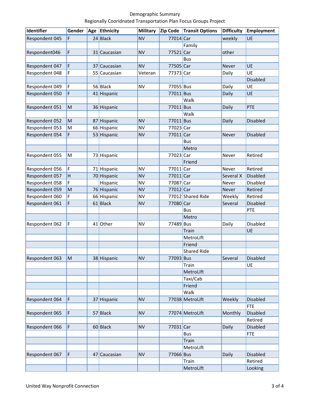#### Demographic Summary Regionally Cooridnated Transportation Plan Focus Groups Project

| Identifier     | Gender       |    | Age Ethnicity | <b>Military</b> | Zip Code  | <b>Transit Options</b> | <b>Difficulty</b> | <b>Employment</b> |
|----------------|--------------|----|---------------|-----------------|-----------|------------------------|-------------------|-------------------|
| Respondent 045 | F            |    | 24 Black      | <b>NV</b>       | 77014 Car |                        | weekly            | UE                |
|                |              |    |               |                 |           | Family                 |                   |                   |
| Respondent046  | F            |    | 31 Caucasian  | <b>NV</b>       | 77521     | Car                    | other             |                   |
|                |              |    |               |                 |           | <b>Bus</b>             |                   |                   |
| Respondent 047 | F            | 37 | Caucasian     | <b>NV</b>       | 77505 Car |                        | Never             | UE                |
| Respondent 048 | F            |    | 55 Caucasian  | Veteran         | 77373 Car |                        | Daily             | UE                |
|                |              |    |               |                 |           |                        |                   | Disabled          |
| Respondent 049 | F            |    | 56 Black      | <b>NV</b>       | 77055 Bus |                        | Daily             | UE                |
| Respondent 050 | F            |    | 41 Hispanic   |                 | 77011 Bus |                        | Daily             | UE                |
|                |              |    |               |                 |           | Walk                   |                   |                   |
| Respondent 051 | M            |    | 36 Hispanic   |                 | 77011 Bus |                        | Daily             | PTE               |
|                |              |    |               |                 |           | Walk                   |                   |                   |
| Respondent 052 | M            | 87 | Hispanic      | <b>NV</b>       | 77011 Bus |                        | Daily             | Disabled          |
| Respondent 053 | M            |    | 66 Hispanic   | <b>NV</b>       | 77023 Car |                        |                   |                   |
| Respondent 054 | F            |    | 53 Hispanic   | <b>NV</b>       | 77011 Car |                        | Never             | <b>Disabled</b>   |
|                |              |    |               |                 |           | <b>Bus</b>             |                   |                   |
|                |              |    |               |                 |           | Metro                  |                   |                   |
| Respondent 055 | M            |    | 73 Hispanic   |                 | 77023 Car |                        | Never             | Retired           |
|                |              |    |               |                 |           | Friend                 |                   |                   |
| Respondent 056 | F            |    | 71 Hispanic   | <b>NV</b>       | 77011 Car |                        | Never             | Retired           |
| Respondent 057 | $\mathsf{H}$ |    | 70 Hispanic   | <b>NV</b>       | 77011 Car |                        | Several X         | <b>Disabled</b>   |
| Respondent 058 | F            |    | Hispanic      | <b>NV</b>       | 77087 Car |                        | Never             | Disabled          |
| Respondent 059 | M            |    | 76 Hispanic   | <b>NV</b>       | 77012 Car |                        | Never             | Retired           |
| Respondent 060 | F            |    | 66 Hispanic   | <b>NV</b>       |           | 77012 Shared Ride      | Weekly            | Retired           |
| Respondent 061 | F            |    | 61 Black      | <b>NV</b>       | 77080 Car |                        | Several           | Disabled          |
|                |              |    |               |                 |           | <b>Bus</b>             |                   | PTE               |
|                |              |    |               |                 |           | Metro                  |                   |                   |
| Respondent 062 | F            |    | 41 Other      | <b>NV</b>       | 77489 Bus |                        | Daily             | Disabled          |
|                |              |    |               |                 |           | Train                  |                   | UE                |
|                |              |    |               |                 |           | MetroLift              |                   |                   |
|                |              |    |               |                 |           | Friend                 |                   |                   |
|                |              |    |               |                 |           | <b>Shared Ride</b>     |                   |                   |
| Respondent 063 | M            |    | 38 Hispanic   | <b>NV</b>       | 77093 Bus |                        | Several           | Disabled          |
|                |              |    |               |                 |           | Train                  |                   | UE                |
|                |              |    |               |                 |           | MetroLift              |                   |                   |
|                |              |    |               |                 |           | Taxi/Cab               |                   |                   |
|                |              |    |               |                 |           | Friend                 |                   |                   |
|                |              |    |               |                 |           | Walk                   |                   |                   |
| Respondent 064 | F            |    | 37 Hispanic   | <b>NV</b>       |           | 77038 MetroLift        | Weekly            | <b>Disabled</b>   |
|                |              |    |               |                 |           |                        |                   | <b>FTE</b>        |
| Respondent 065 | F            |    | 57 Black      | <b>NV</b>       |           | 77074 MetroLift        | Monthly           | Disabled          |
|                |              |    |               |                 |           |                        |                   | Retired           |
| Respondent 066 | F            |    | $60$ Black    | <b>NV</b>       | 77031 Car |                        | Daily             | Disabled          |
|                |              |    |               |                 |           | <b>Bus</b>             |                   | <b>FTE</b>        |
|                |              |    |               |                 |           | Train                  |                   |                   |
|                |              |    |               |                 |           | MetroLift              |                   |                   |
| Respondent 067 | F            |    | 47 Caucasian  | <b>NV</b>       | 77066 Bus |                        | Daily             | <b>Disabled</b>   |
|                |              |    |               |                 |           | Train                  |                   | Retired           |
|                |              |    |               |                 |           | MetroLift              |                   | Looking           |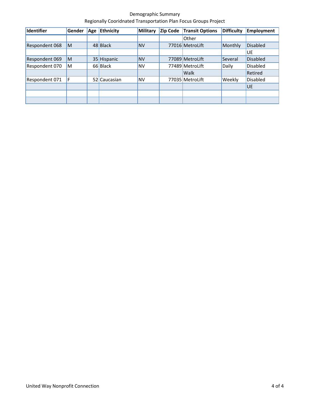Demographic Summary Regionally Cooridnated Transportation Plan Focus Groups Project

| Identifier     | Gender | Age | <b>Ethnicity</b> | <b>Military</b> | Zip Code | <b>Transit Options</b> | <b>Difficulty</b> | <b>Employment</b> |
|----------------|--------|-----|------------------|-----------------|----------|------------------------|-------------------|-------------------|
|                |        |     |                  |                 |          | <b>Other</b>           |                   |                   |
| Respondent 068 | ΙM     |     | 48 Black         | <b>NV</b>       |          | 77016 MetroLift        | Monthly           | <b>Disabled</b>   |
|                |        |     |                  |                 |          |                        |                   | UE                |
| Respondent 069 | ΙM     |     | 35 Hispanic      | <b>NV</b>       |          | 77089 MetroLift        | Several           | <b>Disabled</b>   |
| Respondent 070 | M      |     | 66 Black         | <b>NV</b>       |          | 77489 MetroLift        | Daily             | <b>Disabled</b>   |
|                |        |     |                  |                 |          | <b>Walk</b>            |                   | Retired           |
| Respondent 071 | ١F     |     | 52 Caucasian     | <b>NV</b>       |          | 77035 MetroLift        | Weekly            | <b>Disabled</b>   |
|                |        |     |                  |                 |          |                        |                   | <b>UE</b>         |
|                |        |     |                  |                 |          |                        |                   |                   |
|                |        |     |                  |                 |          |                        |                   |                   |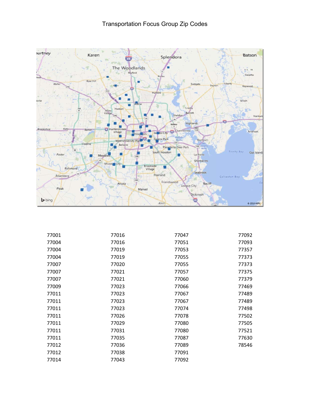

| 77001 | 77016 | 77047 | 77092 |
|-------|-------|-------|-------|
| 77004 | 77016 | 77051 | 77093 |
| 77004 | 77019 | 77053 | 77357 |
| 77004 | 77019 | 77055 | 77373 |
| 77007 | 77020 | 77055 | 77373 |
| 77007 | 77021 | 77057 | 77375 |
| 77007 | 77021 | 77060 | 77379 |
| 77009 | 77023 | 77066 | 77469 |
| 77011 | 77023 | 77067 | 77489 |
| 77011 | 77023 | 77067 | 77489 |
| 77011 | 77023 | 77074 | 77498 |
| 77011 | 77026 | 77078 | 77502 |
| 77011 | 77029 | 77080 | 77505 |
| 77011 | 77031 | 77080 | 77521 |
| 77011 | 77035 | 77087 | 77630 |
| 77012 | 77036 | 77089 | 78546 |
| 77012 | 77038 | 77091 |       |
| 77014 | 77043 | 77092 |       |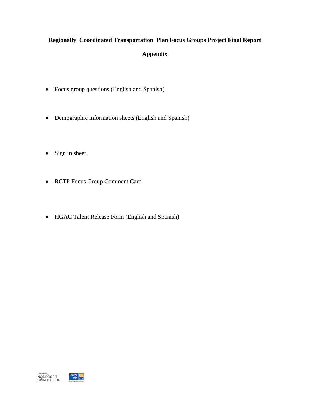# **Regionally Coordinated Transportation Plan Focus Groups Project Final Report Appendix**

- Focus group questions (English and Spanish)
- Demographic information sheets (English and Spanish)
- Sign in sheet
- RCTP Focus Group Comment Card
- HGAC Talent Release Form (English and Spanish)

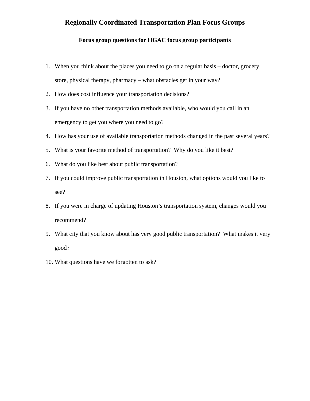# **Regionally Coordinated Transportation Plan Focus Groups**

#### **Focus group questions for HGAC focus group participants**

- 1. When you think about the places you need to go on a regular basis doctor, grocery store, physical therapy, pharmacy – what obstacles get in your way?
- 2. How does cost influence your transportation decisions?
- 3. If you have no other transportation methods available, who would you call in an emergency to get you where you need to go?
- 4. How has your use of available transportation methods changed in the past several years?
- 5. What is your favorite method of transportation? Why do you like it best?
- 6. What do you like best about public transportation?
- 7. If you could improve public transportation in Houston, what options would you like to see?
- 8. If you were in charge of updating Houston's transportation system, changes would you recommend?
- 9. What city that you know about has very good public transportation? What makes it very good?
- 10. What questions have we forgotten to ask?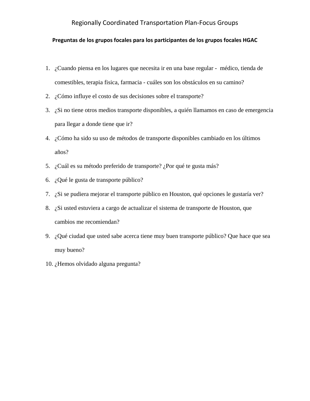# Regionally Coordinated Transportation Plan‐Focus Groups

#### **Preguntas de los grupos focales para los participantes de los grupos focales HGAC**

- 1. ¿Cuando piensa en los lugares que necesita ir en una base regular médico, tienda de comestibles, terapia fisica, farmacia - cuáles son los obstáculos en su camino?
- 2. ¿Cómo influye el costo de sus decisiones sobre el transporte?
- 3. ¿Si no tiene otros medios transporte disponibles, a quién llamamos en caso de emergencia para llegar a donde tiene que ir?
- 4. ¿Cómo ha sido su uso de métodos de transporte disponibles cambiado en los últimos años?
- 5. ¿Cuál es su método preferido de transporte? ¿Por qué te gusta más?
- 6. ¿Qué le gusta de transporte público?
- 7. ¿Si se pudiera mejorar el transporte público en Houston, qué opciones le gustaría ver?
- 8. ¿Si usted estuviera a cargo de actualizar el sistema de transporte de Houston, que cambios me recomiendan?
- 9. ¿Qué ciudad que usted sabe acerca tiene muy buen transporte público? Que hace que sea muy bueno?
- 10. ¿Hemos olvidado alguna pregunta?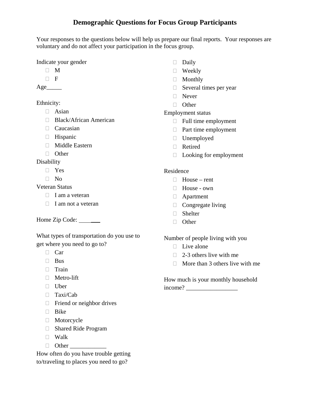# **Demographic Questions for Focus Group Participants**

Your responses to the questions below will help us prepare our final reports. Your responses are voluntary and do not affect your participation in the focus group.

Indicate your gender

- $\Box$  M
- $\Box$  F

 $Age$ <sub>\_\_\_\_\_\_\_\_</sub>

# Ethnicity:

- Asian
- □ Black/African American
- Caucasian
- $\Box$  Hispanic
- Middle Eastern
- □ Other

**Disability** 

- Yes
- $\neg$  No

Veteran Status

- $\Box$  I am a veteran
- $\Box$  I am not a veteran

Home Zip Code: \_\_\_\_\_

What types of transportation do you use to get where you need to go to?

- $\Box$  Car
- $\Box$  Bus
- □ Train
- □ Metro-lift
- Uber
- Taxi/Cab
- $\Box$  Friend or neighbor drives
- **Bike**
- **Motorcycle**
- Shared Ride Program
- Walk
- $\Box$  Other

How often do you have trouble getting to/traveling to places you need to go?

- $\Box$  Daily
- **Weekly**
- Monthly
- $\Box$  Several times per year
- **Never**
- **D** Other

# Employment status

- $\Box$  Full time employment
- $\Box$  Part time employment
- Unemployed
- Retired
- $\Box$  Looking for employment

# Residence

- House rent
- House own
- Apartment
- $\Box$  Congregate living
- □ Shelter
- □ Other

Number of people living with you

- $\Box$  Live alone
- $\Box$  2-3 others live with me
- $\Box$  More than 3 others live with me

How much is your monthly household income? \_\_\_\_\_\_\_\_\_\_\_\_\_\_\_\_\_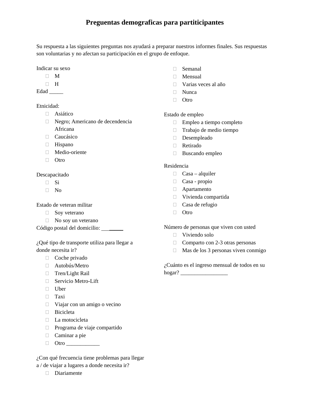# **Preguentas demograficas para partiticipantes**

Su respuesta a las siguientes preguntas nos ayudará a preparar nuestros informes finales. Sus respuestas son voluntarias y no afectan su participación en el grupo de enfoque.

Indicar su sexo

- $\Box$  M
- $\Box$  H

Edad \_\_\_\_\_\_

#### Etnicidad:

- Asiático
- □ Negro; Americano de decendencia Africana
- Caucásico
- **Hispano**
- Medio-oriente
- $\Box$  Otro

#### Descapacitado

- $\Box$  Si
- $\Box$  No

#### Estado de veteran militar

- Soy veterano
- $\Box$  No soy un veterano

Código postal del domicilio: \_\_\_\_\_\_\_

¿Qué tipo de transporte utiliza para llegar a donde necesita ir?

- Coche privado
- Autobús/Metro
- □ Tren/Light Rail
- Servicio Metro-Lift
- $\Box$  Uber
- Taxi
- $\Box$  Viajar con un amigo o vecino
- □ Bicicleta
- $\Box$  La motocicleta
- Programa de viaje compartido
- $\Box$  Caminar a pie
- Otro \_\_\_\_\_\_\_\_\_\_\_\_

¿Con qué frecuencia tiene problemas para llegar a / de viajar a lugares a donde necesita ir?

Diariamente

- Semanal
- Mensual
- Varias veces al año
- $\Box$  Nunca
- □ Otro

#### Estado de empleo

- Empleo a tiempo completo
- Trabajo de medio tiempo
- Desempleado
- Retirado
- $\Box$  Buscando empleo

#### Residencia

- $\Box$  Casa alquiler
- Casa propio
- Apartamento
- Vivienda compartida
- Casa de refugio
- $\Box$  Otro

Número de personas que viven con usted

- Viviendo solo
- $\Box$  Comparto con 2-3 otras personas
- $\Box$  Mas de los 3 personas viven conmigo

¿Cuánto es el ingreso mensual de todos en su hogar? \_\_\_\_\_\_\_\_\_\_\_\_\_\_\_\_\_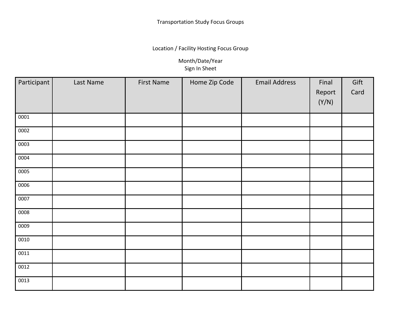Location / Facility Hosting Focus Group

Month/Date/Year Sign In Sheet

| Participant       | Last Name | <b>First Name</b> | Home Zip Code | <b>Email Address</b> | Final  | Gift |
|-------------------|-----------|-------------------|---------------|----------------------|--------|------|
|                   |           |                   |               |                      | Report | Card |
|                   |           |                   |               |                      | (Y/N)  |      |
|                   |           |                   |               |                      |        |      |
| 0001              |           |                   |               |                      |        |      |
| 0002              |           |                   |               |                      |        |      |
| 0003              |           |                   |               |                      |        |      |
| 0004              |           |                   |               |                      |        |      |
| 0005              |           |                   |               |                      |        |      |
| 0006              |           |                   |               |                      |        |      |
| 0007              |           |                   |               |                      |        |      |
| 0008              |           |                   |               |                      |        |      |
| 0009              |           |                   |               |                      |        |      |
| $\overline{00}10$ |           |                   |               |                      |        |      |
| 0011              |           |                   |               |                      |        |      |
| 0012              |           |                   |               |                      |        |      |
| 0013              |           |                   |               |                      |        |      |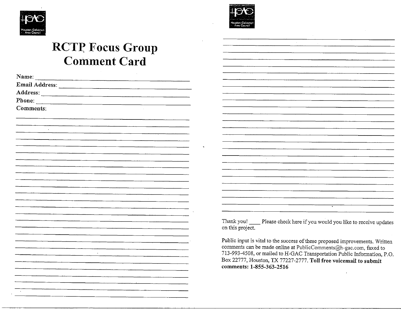



# **RCTP Focus Group Comment Card**

| Name:                    |  |
|--------------------------|--|
| Email Address:           |  |
| Address:                 |  |
| Phone:                   |  |
| Comments:                |  |
|                          |  |
|                          |  |
| $\cdot$                  |  |
|                          |  |
|                          |  |
|                          |  |
|                          |  |
|                          |  |
|                          |  |
|                          |  |
|                          |  |
|                          |  |
|                          |  |
|                          |  |
|                          |  |
|                          |  |
|                          |  |
|                          |  |
| $\overline{\phantom{a}}$ |  |
|                          |  |
|                          |  |
|                          |  |
|                          |  |
|                          |  |
|                          |  |

Thank you! Please check here if you would you like to receive updates on this project.

Public input is vital to the success of these proposed improvements. Written comments can be made online at PublicComments@h-gac.com, faxed to 713-993-4508, or mailed to H-GAC Transportation Public Information, P.O. Box 22777, Houston, TX 77227-2777. Toll free voicemail to submit comments: 1-855-363-2516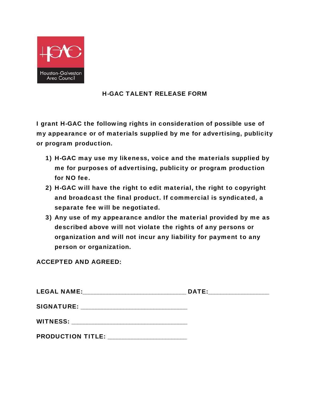

# H-GAC TALENT RELEASE FORM

I grant H-GAC the following rights in consideration of possible use of my appearance or of materials supplied by me for advertising, publicity or program production.

- 1) H-GAC may use my likeness, voice and the materials supplied by me for purposes of advertising, publicity or program production for NO fee.
- 2) H-GAC will have the right to edit material, the right to copyright and broadcast the final product. If commercial is syndicated, a separate fee will be negotiated.
- 3) Any use of my appearance and/or the material provided by me as described above will not violate the rights of any persons or organization and will not incur any liability for payment to any person or organization.

ACCEPTED AND AGREED:

| <b>LEGAL NAME:</b>       | DATE: |  |
|--------------------------|-------|--|
| <b>SIGNATURE:</b>        |       |  |
| <b>WITNESS:</b>          |       |  |
| <b>PRODUCTION TITLE:</b> |       |  |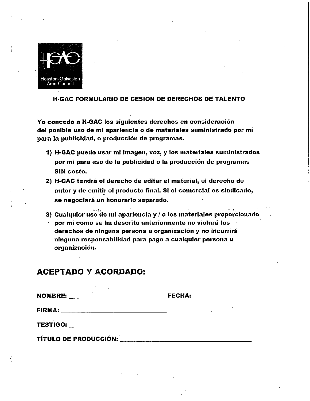

#### **H-GAC FORMULARIO DE CESION DE DERECHOS DE TALENTO**

Yo concedo a H-GAC los siguientes derechos en consideración del posible uso de mi apariencia o de materiales suministrado por mí para la publicidad, o producción de programas.

- 1) H-GAC puede usar mi imagen, voz, y los materiales suministrados por mí para uso de la publicidad o la producción de programas SIN costo.
- 2) H-GAC tendrá el derecho de editar el material, el derecho de autor y de emitir el producto final. Si el comercial es sindicado, se negociará un honorario separado.
- $\alpha$  ,  $\beta$  . 3) Cualquier uso de mi apariencia y / o los materiales proporcionado por mí como se ha descrito anteriormente no violará los derechos de ninguna persona u organización y no incurrirá ninguna responsabilidad para pago a cualquier persona u organización.

# **ACEPTADO Y ACORDADO:**

TÍTULO DE PRODUCCIÓN: \_\_\_\_\_\_\_\_\_

| <b>NOMBRE:</b><br>$\cdot$ | <b>FECHA:</b> |  |  |
|---------------------------|---------------|--|--|
| <b>FIRMA:</b>             |               |  |  |
| <b>TESTIGO:</b>           |               |  |  |
|                           |               |  |  |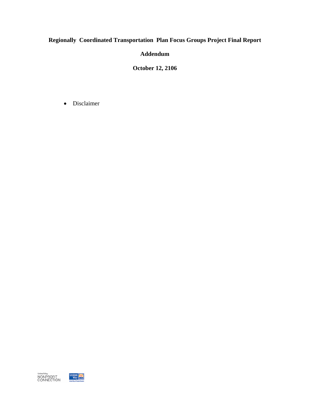# **Regionally Coordinated Transportation Plan Focus Groups Project Final Report**

**Addendum** 

**October 12, 2106** 

Disclaimer